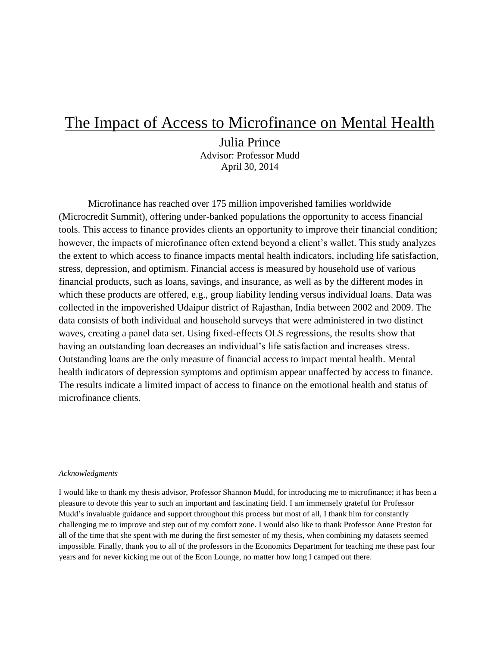# The Impact of Access to Microfinance on Mental Health

Julia Prince Advisor: Professor Mudd April 30, 2014

Microfinance has reached over 175 million impoverished families worldwide (Microcredit Summit), offering under-banked populations the opportunity to access financial tools. This access to finance provides clients an opportunity to improve their financial condition; however, the impacts of microfinance often extend beyond a client's wallet. This study analyzes the extent to which access to finance impacts mental health indicators, including life satisfaction, stress, depression, and optimism. Financial access is measured by household use of various financial products, such as loans, savings, and insurance, as well as by the different modes in which these products are offered, e.g., group liability lending versus individual loans. Data was collected in the impoverished Udaipur district of Rajasthan, India between 2002 and 2009. The data consists of both individual and household surveys that were administered in two distinct waves, creating a panel data set. Using fixed-effects OLS regressions, the results show that having an outstanding loan decreases an individual's life satisfaction and increases stress. Outstanding loans are the only measure of financial access to impact mental health. Mental health indicators of depression symptoms and optimism appear unaffected by access to finance. The results indicate a limited impact of access to finance on the emotional health and status of microfinance clients.

#### *Acknowledgments*

I would like to thank my thesis advisor, Professor Shannon Mudd, for introducing me to microfinance; it has been a pleasure to devote this year to such an important and fascinating field. I am immensely grateful for Professor Mudd's invaluable guidance and support throughout this process but most of all, I thank him for constantly challenging me to improve and step out of my comfort zone. I would also like to thank Professor Anne Preston for all of the time that she spent with me during the first semester of my thesis, when combining my datasets seemed impossible. Finally, thank you to all of the professors in the Economics Department for teaching me these past four years and for never kicking me out of the Econ Lounge, no matter how long I camped out there.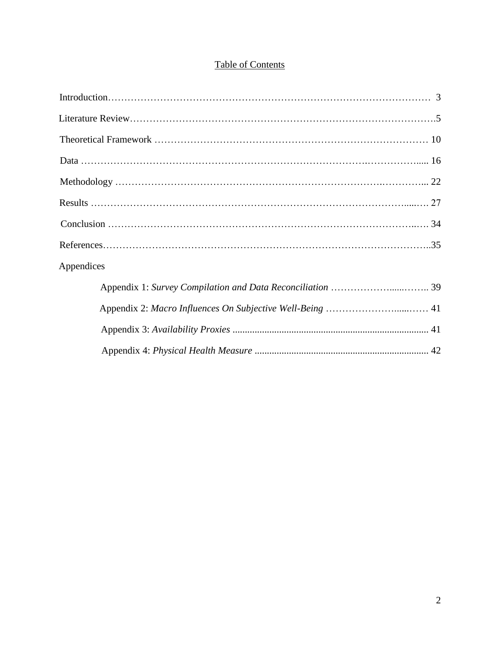# Table of Contents

| Appendices |  |
|------------|--|
|            |  |
|            |  |
|            |  |
|            |  |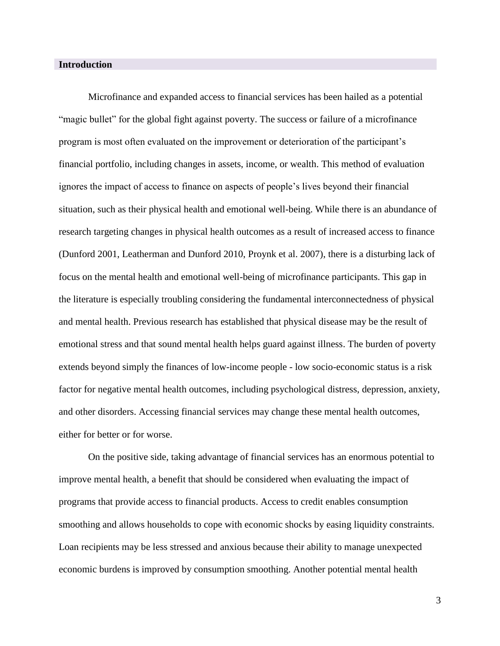# **Introduction**

Microfinance and expanded access to financial services has been hailed as a potential "magic bullet" for the global fight against poverty. The success or failure of a microfinance program is most often evaluated on the improvement or deterioration of the participant's financial portfolio, including changes in assets, income, or wealth. This method of evaluation ignores the impact of access to finance on aspects of people's lives beyond their financial situation, such as their physical health and emotional well-being. While there is an abundance of research targeting changes in physical health outcomes as a result of increased access to finance (Dunford 2001, Leatherman and Dunford 2010, Proynk et al. 2007), there is a disturbing lack of focus on the mental health and emotional well-being of microfinance participants. This gap in the literature is especially troubling considering the fundamental interconnectedness of physical and mental health. Previous research has established that physical disease may be the result of emotional stress and that sound mental health helps guard against illness. The burden of poverty extends beyond simply the finances of low-income people - low socio-economic status is a risk factor for negative mental health outcomes, including psychological distress, depression, anxiety, and other disorders. Accessing financial services may change these mental health outcomes, either for better or for worse.

On the positive side, taking advantage of financial services has an enormous potential to improve mental health, a benefit that should be considered when evaluating the impact of programs that provide access to financial products. Access to credit enables consumption smoothing and allows households to cope with economic shocks by easing liquidity constraints. Loan recipients may be less stressed and anxious because their ability to manage unexpected economic burdens is improved by consumption smoothing. Another potential mental health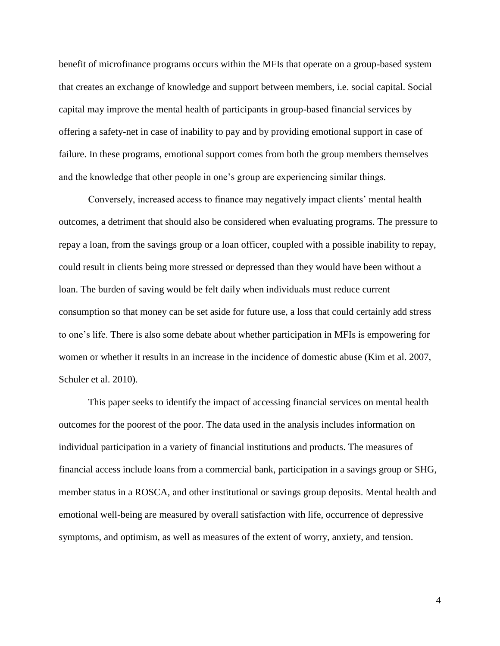benefit of microfinance programs occurs within the MFIs that operate on a group-based system that creates an exchange of knowledge and support between members, i.e. social capital. Social capital may improve the mental health of participants in group-based financial services by offering a safety-net in case of inability to pay and by providing emotional support in case of failure. In these programs, emotional support comes from both the group members themselves and the knowledge that other people in one's group are experiencing similar things.

Conversely, increased access to finance may negatively impact clients' mental health outcomes, a detriment that should also be considered when evaluating programs. The pressure to repay a loan, from the savings group or a loan officer, coupled with a possible inability to repay, could result in clients being more stressed or depressed than they would have been without a loan. The burden of saving would be felt daily when individuals must reduce current consumption so that money can be set aside for future use, a loss that could certainly add stress to one's life. There is also some debate about whether participation in MFIs is empowering for women or whether it results in an increase in the incidence of domestic abuse (Kim et al. 2007, Schuler et al. 2010).

This paper seeks to identify the impact of accessing financial services on mental health outcomes for the poorest of the poor. The data used in the analysis includes information on individual participation in a variety of financial institutions and products. The measures of financial access include loans from a commercial bank, participation in a savings group or SHG, member status in a ROSCA, and other institutional or savings group deposits. Mental health and emotional well-being are measured by overall satisfaction with life, occurrence of depressive symptoms, and optimism, as well as measures of the extent of worry, anxiety, and tension.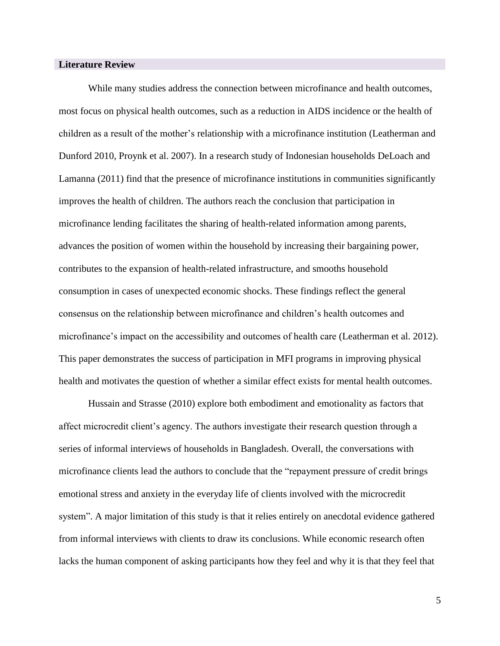# **Literature Review**

While many studies address the connection between microfinance and health outcomes, most focus on physical health outcomes, such as a reduction in AIDS incidence or the health of children as a result of the mother's relationship with a microfinance institution (Leatherman and Dunford 2010, Proynk et al. 2007). In a research study of Indonesian households DeLoach and Lamanna (2011) find that the presence of microfinance institutions in communities significantly improves the health of children. The authors reach the conclusion that participation in microfinance lending facilitates the sharing of health-related information among parents, advances the position of women within the household by increasing their bargaining power, contributes to the expansion of health-related infrastructure, and smooths household consumption in cases of unexpected economic shocks. These findings reflect the general consensus on the relationship between microfinance and children's health outcomes and microfinance's impact on the accessibility and outcomes of health care (Leatherman et al. 2012). This paper demonstrates the success of participation in MFI programs in improving physical health and motivates the question of whether a similar effect exists for mental health outcomes.

Hussain and Strasse (2010) explore both embodiment and emotionality as factors that affect microcredit client's agency. The authors investigate their research question through a series of informal interviews of households in Bangladesh. Overall, the conversations with microfinance clients lead the authors to conclude that the "repayment pressure of credit brings emotional stress and anxiety in the everyday life of clients involved with the microcredit system". A major limitation of this study is that it relies entirely on anecdotal evidence gathered from informal interviews with clients to draw its conclusions. While economic research often lacks the human component of asking participants how they feel and why it is that they feel that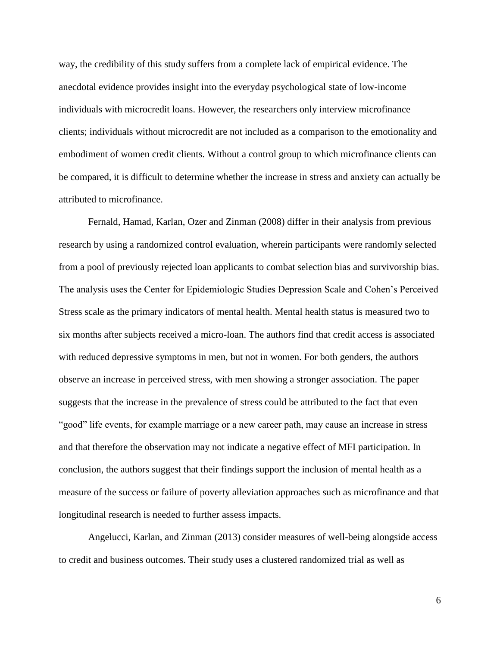way, the credibility of this study suffers from a complete lack of empirical evidence. The anecdotal evidence provides insight into the everyday psychological state of low-income individuals with microcredit loans. However, the researchers only interview microfinance clients; individuals without microcredit are not included as a comparison to the emotionality and embodiment of women credit clients. Without a control group to which microfinance clients can be compared, it is difficult to determine whether the increase in stress and anxiety can actually be attributed to microfinance.

Fernald, Hamad, Karlan, Ozer and Zinman (2008) differ in their analysis from previous research by using a randomized control evaluation, wherein participants were randomly selected from a pool of previously rejected loan applicants to combat selection bias and survivorship bias. The analysis uses the Center for Epidemiologic Studies Depression Scale and Cohen's Perceived Stress scale as the primary indicators of mental health. Mental health status is measured two to six months after subjects received a micro-loan. The authors find that credit access is associated with reduced depressive symptoms in men, but not in women. For both genders, the authors observe an increase in perceived stress, with men showing a stronger association. The paper suggests that the increase in the prevalence of stress could be attributed to the fact that even "good" life events, for example marriage or a new career path, may cause an increase in stress and that therefore the observation may not indicate a negative effect of MFI participation. In conclusion, the authors suggest that their findings support the inclusion of mental health as a measure of the success or failure of poverty alleviation approaches such as microfinance and that longitudinal research is needed to further assess impacts.

Angelucci, Karlan, and Zinman (2013) consider measures of well-being alongside access to credit and business outcomes. Their study uses a clustered randomized trial as well as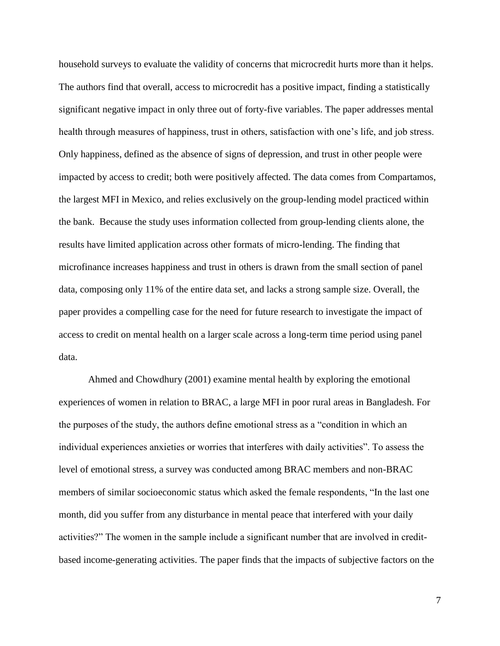household surveys to evaluate the validity of concerns that microcredit hurts more than it helps. The authors find that overall, access to microcredit has a positive impact, finding a statistically significant negative impact in only three out of forty-five variables. The paper addresses mental health through measures of happiness, trust in others, satisfaction with one's life, and job stress. Only happiness, defined as the absence of signs of depression, and trust in other people were impacted by access to credit; both were positively affected. The data comes from Compartamos, the largest MFI in Mexico, and relies exclusively on the group-lending model practiced within the bank. Because the study uses information collected from group-lending clients alone, the results have limited application across other formats of micro-lending. The finding that microfinance increases happiness and trust in others is drawn from the small section of panel data, composing only 11% of the entire data set, and lacks a strong sample size. Overall, the paper provides a compelling case for the need for future research to investigate the impact of access to credit on mental health on a larger scale across a long-term time period using panel data.

Ahmed and Chowdhury (2001) examine mental health by exploring the emotional experiences of women in relation to BRAC, a large MFI in poor rural areas in Bangladesh. For the purposes of the study, the authors define emotional stress as a "condition in which an individual experiences anxieties or worries that interferes with daily activities". To assess the level of emotional stress, a survey was conducted among BRAC members and non-BRAC members of similar socioeconomic status which asked the female respondents, "In the last one month, did you suffer from any disturbance in mental peace that interfered with your daily activities?" The women in the sample include a significant number that are involved in creditbased income-generating activities. The paper finds that the impacts of subjective factors on the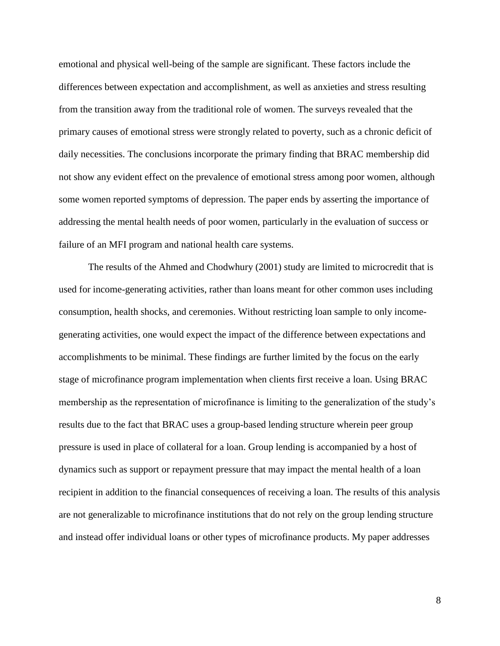emotional and physical well-being of the sample are significant. These factors include the differences between expectation and accomplishment, as well as anxieties and stress resulting from the transition away from the traditional role of women. The surveys revealed that the primary causes of emotional stress were strongly related to poverty, such as a chronic deficit of daily necessities. The conclusions incorporate the primary finding that BRAC membership did not show any evident effect on the prevalence of emotional stress among poor women, although some women reported symptoms of depression. The paper ends by asserting the importance of addressing the mental health needs of poor women, particularly in the evaluation of success or failure of an MFI program and national health care systems.

The results of the Ahmed and Chodwhury (2001) study are limited to microcredit that is used for income-generating activities, rather than loans meant for other common uses including consumption, health shocks, and ceremonies. Without restricting loan sample to only incomegenerating activities, one would expect the impact of the difference between expectations and accomplishments to be minimal. These findings are further limited by the focus on the early stage of microfinance program implementation when clients first receive a loan. Using BRAC membership as the representation of microfinance is limiting to the generalization of the study's results due to the fact that BRAC uses a group-based lending structure wherein peer group pressure is used in place of collateral for a loan. Group lending is accompanied by a host of dynamics such as support or repayment pressure that may impact the mental health of a loan recipient in addition to the financial consequences of receiving a loan. The results of this analysis are not generalizable to microfinance institutions that do not rely on the group lending structure and instead offer individual loans or other types of microfinance products. My paper addresses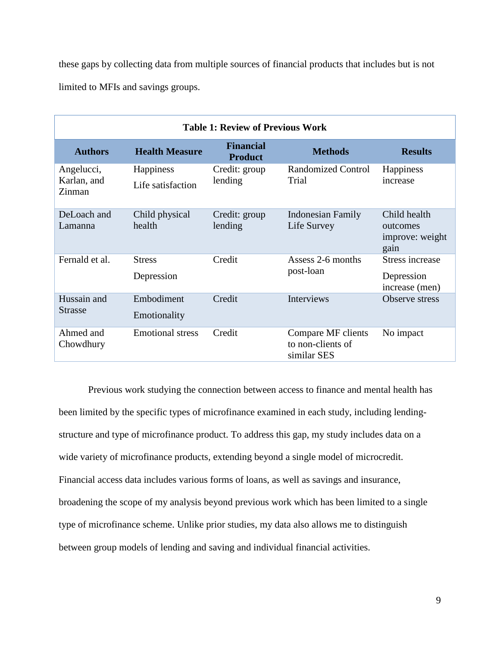these gaps by collecting data from multiple sources of financial products that includes but is not limited to MFIs and savings groups.

| <b>Table 1: Review of Previous Work</b> |                                |                                    |                                                        |                                                     |  |  |
|-----------------------------------------|--------------------------------|------------------------------------|--------------------------------------------------------|-----------------------------------------------------|--|--|
| <b>Authors</b>                          | <b>Health Measure</b>          | <b>Financial</b><br><b>Product</b> | <b>Methods</b>                                         | <b>Results</b>                                      |  |  |
| Angelucci,<br>Karlan, and<br>Zinman     | Happiness<br>Life satisfaction | Credit: group<br>lending           | Randomized Control<br>Trial                            | Happiness<br>increase                               |  |  |
|                                         |                                |                                    |                                                        |                                                     |  |  |
| DeLoach and<br>Lamanna                  | Child physical<br>health       | Credit: group<br>lending           | <b>Indonesian Family</b><br>Life Survey                | Child health<br>outcomes<br>improve: weight<br>gain |  |  |
| Fernald et al.                          | <b>Stress</b>                  | Credit                             | Assess 2-6 months                                      | <b>Stress increase</b>                              |  |  |
|                                         | Depression                     |                                    | post-loan                                              | Depression<br>increase (men)                        |  |  |
| Hussain and<br><b>Strasse</b>           | Embodiment<br>Emotionality     | Credit                             | <b>Interviews</b>                                      | Observe stress                                      |  |  |
| Ahmed and<br>Chowdhury                  | <b>Emotional stress</b>        | Credit                             | Compare MF clients<br>to non-clients of<br>similar SES | No impact                                           |  |  |

Previous work studying the connection between access to finance and mental health has been limited by the specific types of microfinance examined in each study, including lendingstructure and type of microfinance product. To address this gap, my study includes data on a wide variety of microfinance products, extending beyond a single model of microcredit. Financial access data includes various forms of loans, as well as savings and insurance, broadening the scope of my analysis beyond previous work which has been limited to a single type of microfinance scheme. Unlike prior studies, my data also allows me to distinguish between group models of lending and saving and individual financial activities.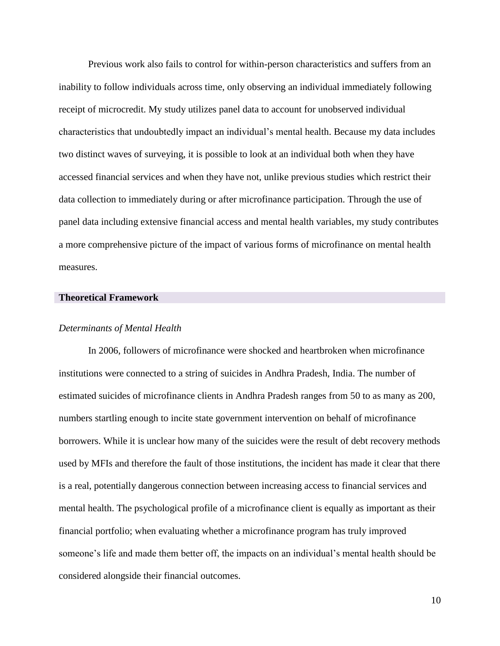Previous work also fails to control for within-person characteristics and suffers from an inability to follow individuals across time, only observing an individual immediately following receipt of microcredit. My study utilizes panel data to account for unobserved individual characteristics that undoubtedly impact an individual's mental health. Because my data includes two distinct waves of surveying, it is possible to look at an individual both when they have accessed financial services and when they have not, unlike previous studies which restrict their data collection to immediately during or after microfinance participation. Through the use of panel data including extensive financial access and mental health variables, my study contributes a more comprehensive picture of the impact of various forms of microfinance on mental health measures.

# **Theoretical Framework**

#### *Determinants of Mental Health*

In 2006, followers of microfinance were shocked and heartbroken when microfinance institutions were connected to a string of suicides in Andhra Pradesh, India. The number of estimated suicides of microfinance clients in Andhra Pradesh ranges from 50 to as many as 200, numbers startling enough to incite state government intervention on behalf of microfinance borrowers. While it is unclear how many of the suicides were the result of debt recovery methods used by MFIs and therefore the fault of those institutions, the incident has made it clear that there is a real, potentially dangerous connection between increasing access to financial services and mental health. The psychological profile of a microfinance client is equally as important as their financial portfolio; when evaluating whether a microfinance program has truly improved someone's life and made them better off, the impacts on an individual's mental health should be considered alongside their financial outcomes.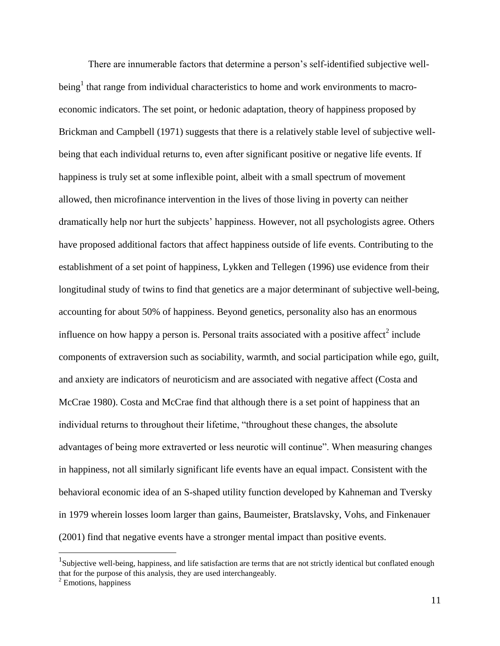There are innumerable factors that determine a person's self-identified subjective wellbeing<sup>1</sup> that range from individual characteristics to home and work environments to macroeconomic indicators. The set point, or hedonic adaptation, theory of happiness proposed by Brickman and Campbell (1971) suggests that there is a relatively stable level of subjective wellbeing that each individual returns to, even after significant positive or negative life events. If happiness is truly set at some inflexible point, albeit with a small spectrum of movement allowed, then microfinance intervention in the lives of those living in poverty can neither dramatically help nor hurt the subjects' happiness. However, not all psychologists agree. Others have proposed additional factors that affect happiness outside of life events. Contributing to the establishment of a set point of happiness, Lykken and Tellegen (1996) use evidence from their longitudinal study of twins to find that genetics are a major determinant of subjective well-being, accounting for about 50% of happiness. Beyond genetics, personality also has an enormous influence on how happy a person is. Personal traits associated with a positive affect<sup>2</sup> include components of extraversion such as sociability, warmth, and social participation while ego, guilt, and anxiety are indicators of neuroticism and are associated with negative affect (Costa and McCrae 1980). Costa and McCrae find that although there is a set point of happiness that an individual returns to throughout their lifetime, "throughout these changes, the absolute advantages of being more extraverted or less neurotic will continue". When measuring changes in happiness, not all similarly significant life events have an equal impact. Consistent with the behavioral economic idea of an S-shaped utility function developed by Kahneman and Tversky in 1979 wherein losses loom larger than gains, Baumeister, Bratslavsky, Vohs, and Finkenauer (2001) find that negative events have a stronger mental impact than positive events.

 $\overline{a}$ 

 $1$ Subjective well-being, happiness, and life satisfaction are terms that are not strictly identical but conflated enough that for the purpose of this analysis, they are used interchangeably.

 $2$  Emotions, happiness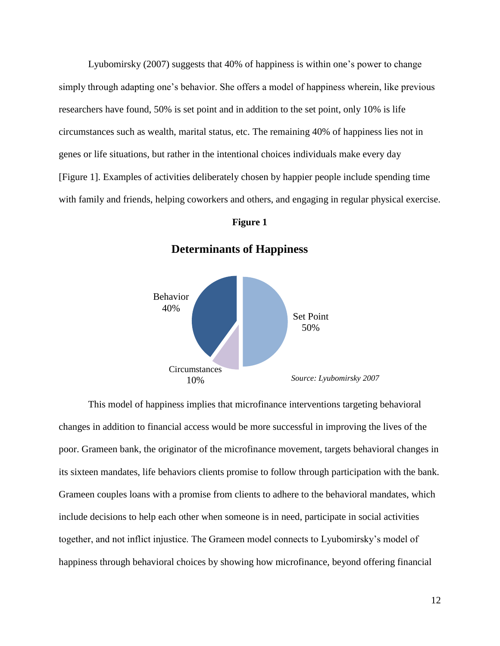Lyubomirsky (2007) suggests that 40% of happiness is within one's power to change simply through adapting one's behavior. She offers a model of happiness wherein, like previous researchers have found, 50% is set point and in addition to the set point, only 10% is life circumstances such as wealth, marital status, etc. The remaining 40% of happiness lies not in genes or life situations, but rather in the intentional choices individuals make every day [Figure 1]. Examples of activities deliberately chosen by happier people include spending time with family and friends, helping coworkers and others, and engaging in regular physical exercise.

#### **Figure 1**



**Determinants of Happiness**

This model of happiness implies that microfinance interventions targeting behavioral changes in addition to financial access would be more successful in improving the lives of the poor. Grameen bank, the originator of the microfinance movement, targets behavioral changes in its sixteen mandates, life behaviors clients promise to follow through participation with the bank. Grameen couples loans with a promise from clients to adhere to the behavioral mandates, which include decisions to help each other when someone is in need, participate in social activities together, and not inflict injustice. The Grameen model connects to Lyubomirsky's model of happiness through behavioral choices by showing how microfinance, beyond offering financial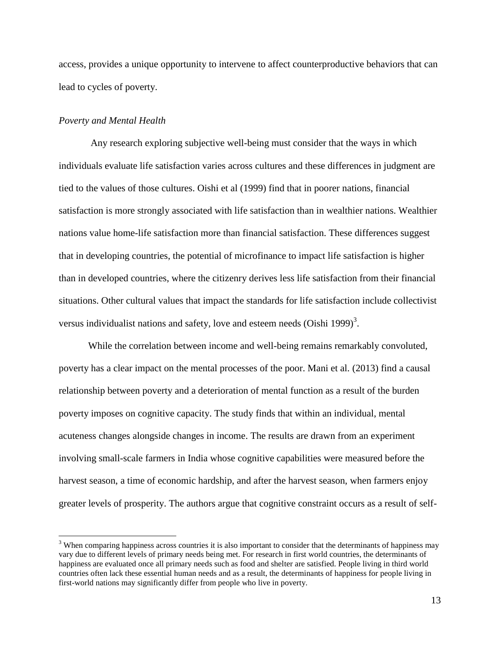access, provides a unique opportunity to intervene to affect counterproductive behaviors that can lead to cycles of poverty.

## *Poverty and Mental Health*

 $\overline{a}$ 

Any research exploring subjective well-being must consider that the ways in which individuals evaluate life satisfaction varies across cultures and these differences in judgment are tied to the values of those cultures. Oishi et al (1999) find that in poorer nations, financial satisfaction is more strongly associated with life satisfaction than in wealthier nations. Wealthier nations value home-life satisfaction more than financial satisfaction. These differences suggest that in developing countries, the potential of microfinance to impact life satisfaction is higher than in developed countries, where the citizenry derives less life satisfaction from their financial situations. Other cultural values that impact the standards for life satisfaction include collectivist versus individualist nations and safety, love and esteem needs (Oishi 1999)<sup>3</sup>.

While the correlation between income and well-being remains remarkably convoluted, poverty has a clear impact on the mental processes of the poor. Mani et al. (2013) find a causal relationship between poverty and a deterioration of mental function as a result of the burden poverty imposes on cognitive capacity. The study finds that within an individual, mental acuteness changes alongside changes in income. The results are drawn from an experiment involving small-scale farmers in India whose cognitive capabilities were measured before the harvest season, a time of economic hardship, and after the harvest season, when farmers enjoy greater levels of prosperity. The authors argue that cognitive constraint occurs as a result of self-

<sup>&</sup>lt;sup>3</sup> When comparing happiness across countries it is also important to consider that the determinants of happiness may vary due to different levels of primary needs being met. For research in first world countries, the determinants of happiness are evaluated once all primary needs such as food and shelter are satisfied. People living in third world countries often lack these essential human needs and as a result, the determinants of happiness for people living in first-world nations may significantly differ from people who live in poverty.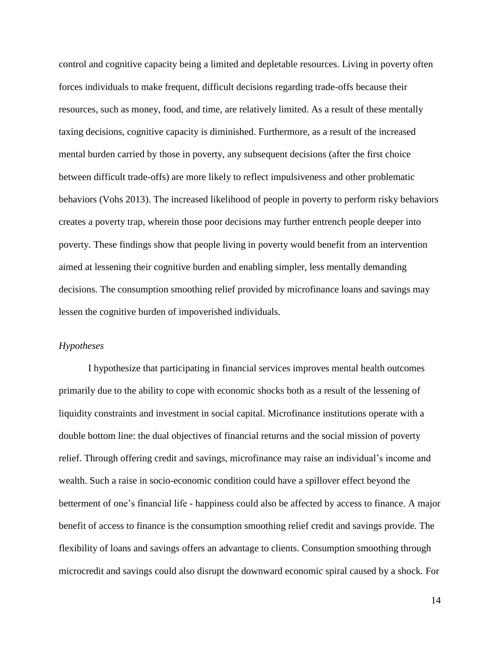control and cognitive capacity being a limited and depletable resources. Living in poverty often forces individuals to make frequent, difficult decisions regarding trade-offs because their resources, such as money, food, and time, are relatively limited. As a result of these mentally taxing decisions, cognitive capacity is diminished. Furthermore, as a result of the increased mental burden carried by those in poverty, any subsequent decisions (after the first choice between difficult trade-offs) are more likely to reflect impulsiveness and other problematic behaviors (Vohs 2013). The increased likelihood of people in poverty to perform risky behaviors creates a poverty trap, wherein those poor decisions may further entrench people deeper into poverty. These findings show that people living in poverty would benefit from an intervention aimed at lessening their cognitive burden and enabling simpler, less mentally demanding decisions. The consumption smoothing relief provided by microfinance loans and savings may lessen the cognitive burden of impoverished individuals.

# *Hypotheses*

I hypothesize that participating in financial services improves mental health outcomes primarily due to the ability to cope with economic shocks both as a result of the lessening of liquidity constraints and investment in social capital. Microfinance institutions operate with a double bottom line: the dual objectives of financial returns and the social mission of poverty relief. Through offering credit and savings, microfinance may raise an individual's income and wealth. Such a raise in socio-economic condition could have a spillover effect beyond the betterment of one's financial life - happiness could also be affected by access to finance. A major benefit of access to finance is the consumption smoothing relief credit and savings provide. The flexibility of loans and savings offers an advantage to clients. Consumption smoothing through microcredit and savings could also disrupt the downward economic spiral caused by a shock. For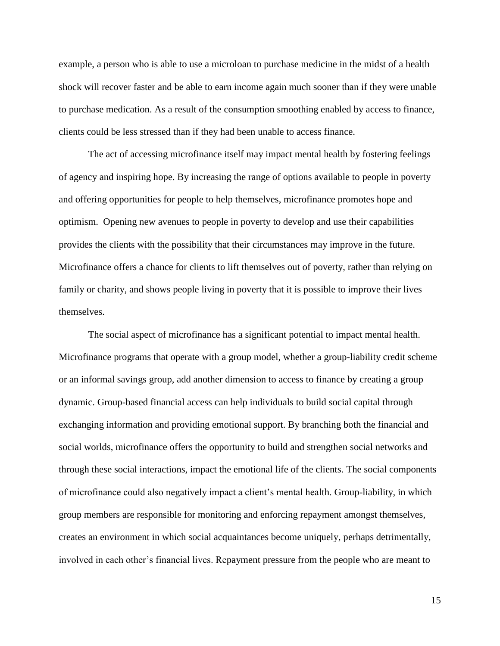example, a person who is able to use a microloan to purchase medicine in the midst of a health shock will recover faster and be able to earn income again much sooner than if they were unable to purchase medication. As a result of the consumption smoothing enabled by access to finance, clients could be less stressed than if they had been unable to access finance.

The act of accessing microfinance itself may impact mental health by fostering feelings of agency and inspiring hope. By increasing the range of options available to people in poverty and offering opportunities for people to help themselves, microfinance promotes hope and optimism. Opening new avenues to people in poverty to develop and use their capabilities provides the clients with the possibility that their circumstances may improve in the future. Microfinance offers a chance for clients to lift themselves out of poverty, rather than relying on family or charity, and shows people living in poverty that it is possible to improve their lives themselves.

The social aspect of microfinance has a significant potential to impact mental health. Microfinance programs that operate with a group model, whether a group-liability credit scheme or an informal savings group, add another dimension to access to finance by creating a group dynamic. Group-based financial access can help individuals to build social capital through exchanging information and providing emotional support. By branching both the financial and social worlds, microfinance offers the opportunity to build and strengthen social networks and through these social interactions, impact the emotional life of the clients. The social components of microfinance could also negatively impact a client's mental health. Group-liability, in which group members are responsible for monitoring and enforcing repayment amongst themselves, creates an environment in which social acquaintances become uniquely, perhaps detrimentally, involved in each other's financial lives. Repayment pressure from the people who are meant to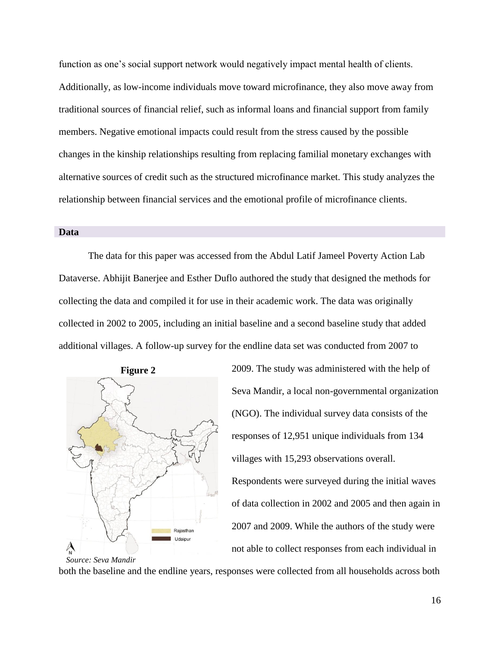function as one's social support network would negatively impact mental health of clients. Additionally, as low-income individuals move toward microfinance, they also move away from traditional sources of financial relief, such as informal loans and financial support from family members. Negative emotional impacts could result from the stress caused by the possible changes in the kinship relationships resulting from replacing familial monetary exchanges with alternative sources of credit such as the structured microfinance market. This study analyzes the relationship between financial services and the emotional profile of microfinance clients.

#### **Data**

The data for this paper was accessed from the Abdul Latif Jameel Poverty Action Lab Dataverse. Abhijit Banerjee and Esther Duflo authored the study that designed the methods for collecting the data and compiled it for use in their academic work. The data was originally collected in 2002 to 2005, including an initial baseline and a second baseline study that added additional villages. A follow-up survey for the endline data set was conducted from 2007 to



2009. The study was administered with the help of Seva Mandir, a local non-governmental organization (NGO). The individual survey data consists of the responses of 12,951 unique individuals from 134 villages with 15,293 observations overall. Respondents were surveyed during the initial waves of data collection in 2002 and 2005 and then again in 2007 and 2009. While the authors of the study were not able to collect responses from each individual in

both the baseline and the endline years, responses were collected from all households across both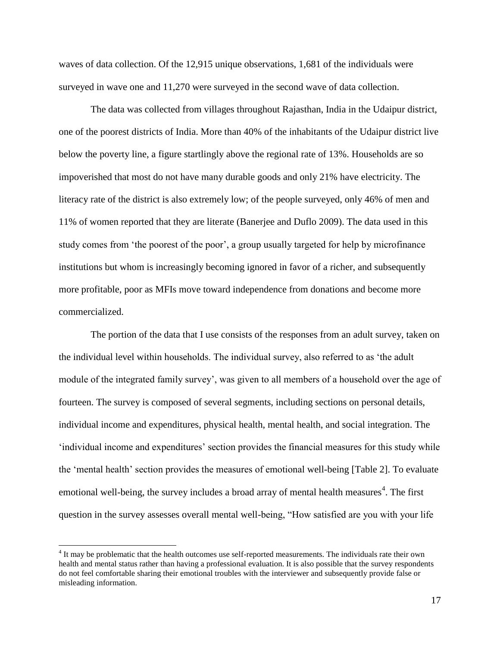waves of data collection. Of the 12,915 unique observations, 1,681 of the individuals were surveyed in wave one and 11,270 were surveyed in the second wave of data collection.

The data was collected from villages throughout Rajasthan, India in the Udaipur district, one of the poorest districts of India. More than 40% of the inhabitants of the Udaipur district live below the poverty line, a figure startlingly above the regional rate of 13%. Households are so impoverished that most do not have many durable goods and only 21% have electricity. The literacy rate of the district is also extremely low; of the people surveyed, only 46% of men and 11% of women reported that they are literate (Banerjee and Duflo 2009). The data used in this study comes from 'the poorest of the poor', a group usually targeted for help by microfinance institutions but whom is increasingly becoming ignored in favor of a richer, and subsequently more profitable, poor as MFIs move toward independence from donations and become more commercialized.

The portion of the data that I use consists of the responses from an adult survey, taken on the individual level within households. The individual survey, also referred to as 'the adult module of the integrated family survey', was given to all members of a household over the age of fourteen. The survey is composed of several segments, including sections on personal details, individual income and expenditures, physical health, mental health, and social integration. The 'individual income and expenditures' section provides the financial measures for this study while the 'mental health' section provides the measures of emotional well-being [Table 2]. To evaluate emotional well-being, the survey includes a broad array of mental health measures<sup>4</sup>. The first question in the survey assesses overall mental well-being, "How satisfied are you with your life

 $\overline{\phantom{a}}$ 

 $4$  It may be problematic that the health outcomes use self-reported measurements. The individuals rate their own health and mental status rather than having a professional evaluation. It is also possible that the survey respondents do not feel comfortable sharing their emotional troubles with the interviewer and subsequently provide false or misleading information.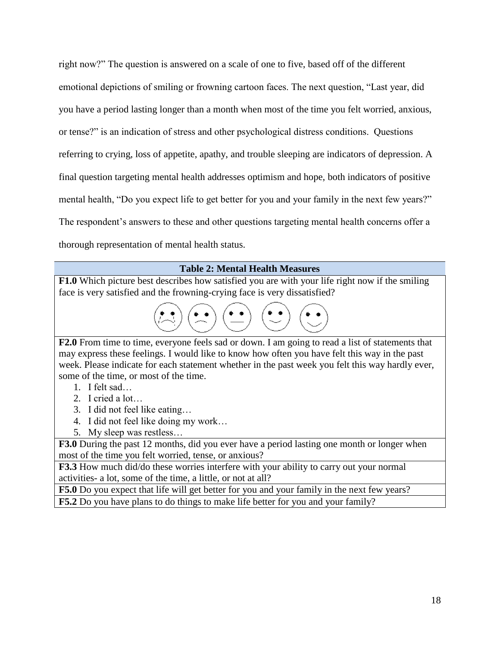right now?" The question is answered on a scale of one to five, based off of the different emotional depictions of smiling or frowning cartoon faces. The next question, "Last year, did you have a period lasting longer than a month when most of the time you felt worried, anxious, or tense?" is an indication of stress and other psychological distress conditions. Questions referring to crying, loss of appetite, apathy, and trouble sleeping are indicators of depression. A final question targeting mental health addresses optimism and hope, both indicators of positive mental health, "Do you expect life to get better for you and your family in the next few years?" The respondent's answers to these and other questions targeting mental health concerns offer a thorough representation of mental health status.

# **Table 2: Mental Health Measures**

**F1.0** Which picture best describes how satisfied you are with your life right now if the smiling face is very satisfied and the frowning-crying face is very dissatisfied?

| $\left(\begin{matrix} \bullet & \bullet \\ \bullet & \bullet \end{matrix}\right) \left(\begin{matrix} \bullet & \bullet \\ \bullet & \bullet \end{matrix}\right)$ | $\stackrel{\bullet}{\mathbf{A}}$ | $\bullet$ $\bullet$ <sup>1</sup> | $\bullet$ $\bullet$ |
|-------------------------------------------------------------------------------------------------------------------------------------------------------------------|----------------------------------|----------------------------------|---------------------|
|                                                                                                                                                                   |                                  |                                  |                     |

 $\overline{a}$ **F2.0** From time to time, everyone feels sad or down. I am going to read a list of statements that may express these feelings. I would like to know how often you have felt this way in the past week. Please indicate for each statement whether in the past week you felt this way hardly ever, some of the time, or most of the time.

- 1. I felt sad…
- 2. I cried a lot…
- 3. I did not feel like eating…
- 4. I did not feel like doing my work…
- 5. My sleep was restless…

**F3.0** During the past 12 months, did you ever have a period lasting one month or longer when most of the time you felt worried, tense, or anxious?

**F3.3** How much did/do these worries interfere with your ability to carry out your normal activities- a lot, some of the time, a little, or not at all?

**F5.0** Do you expect that life will get better for you and your family in the next few years?

**F5.2** Do you have plans to do things to make life better for you and your family?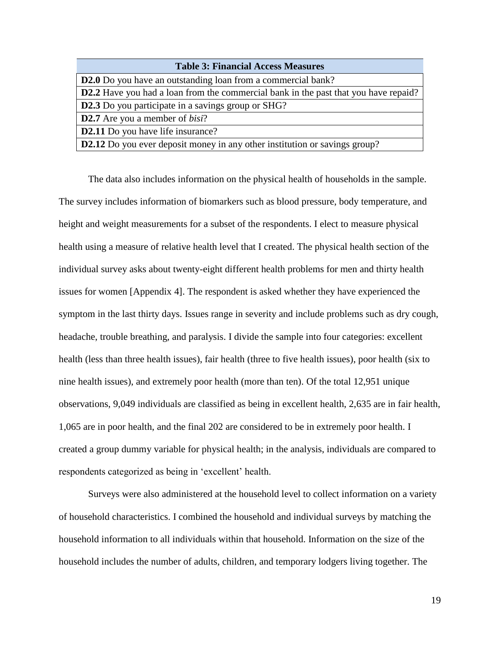| <b>Table 3: Financial Access Measures</b>                                                  |
|--------------------------------------------------------------------------------------------|
| <b>D2.0</b> Do you have an outstanding loan from a commercial bank?                        |
| <b>D2.2</b> Have you had a loan from the commercial bank in the past that you have repaid? |
| <b>D2.3</b> Do you participate in a savings group or SHG?                                  |
| <b>D2.7</b> Are you a member of <i>bisi</i> ?                                              |
| <b>D2.11</b> Do you have life insurance?                                                   |
| <b>D2.12</b> Do you ever deposit money in any other institution or savings group?          |

The data also includes information on the physical health of households in the sample. The survey includes information of biomarkers such as blood pressure, body temperature, and height and weight measurements for a subset of the respondents. I elect to measure physical health using a measure of relative health level that I created. The physical health section of the individual survey asks about twenty-eight different health problems for men and thirty health issues for women [Appendix 4]. The respondent is asked whether they have experienced the symptom in the last thirty days. Issues range in severity and include problems such as dry cough, headache, trouble breathing, and paralysis. I divide the sample into four categories: excellent health (less than three health issues), fair health (three to five health issues), poor health (six to nine health issues), and extremely poor health (more than ten). Of the total 12,951 unique observations, 9,049 individuals are classified as being in excellent health, 2,635 are in fair health, 1,065 are in poor health, and the final 202 are considered to be in extremely poor health. I created a group dummy variable for physical health; in the analysis, individuals are compared to respondents categorized as being in 'excellent' health.

Surveys were also administered at the household level to collect information on a variety of household characteristics. I combined the household and individual surveys by matching the household information to all individuals within that household. Information on the size of the household includes the number of adults, children, and temporary lodgers living together. The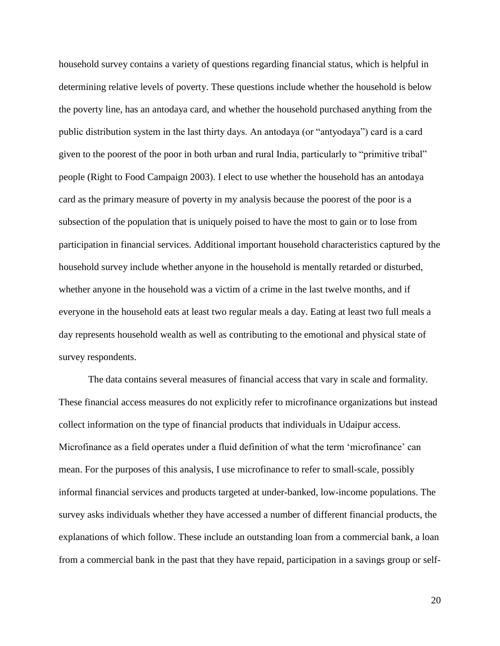household survey contains a variety of questions regarding financial status, which is helpful in determining relative levels of poverty. These questions include whether the household is below the poverty line, has an antodaya card, and whether the household purchased anything from the public distribution system in the last thirty days. An antodaya (or "antyodaya") card is a card given to the poorest of the poor in both urban and rural India, particularly to "primitive tribal" people (Right to Food Campaign 2003). I elect to use whether the household has an antodaya card as the primary measure of poverty in my analysis because the poorest of the poor is a subsection of the population that is uniquely poised to have the most to gain or to lose from participation in financial services. Additional important household characteristics captured by the household survey include whether anyone in the household is mentally retarded or disturbed, whether anyone in the household was a victim of a crime in the last twelve months, and if everyone in the household eats at least two regular meals a day. Eating at least two full meals a day represents household wealth as well as contributing to the emotional and physical state of survey respondents.

The data contains several measures of financial access that vary in scale and formality. These financial access measures do not explicitly refer to microfinance organizations but instead collect information on the type of financial products that individuals in Udaipur access. Microfinance as a field operates under a fluid definition of what the term 'microfinance' can mean. For the purposes of this analysis, I use microfinance to refer to small-scale, possibly informal financial services and products targeted at under-banked, low-income populations. The survey asks individuals whether they have accessed a number of different financial products, the explanations of which follow. These include an outstanding loan from a commercial bank, a loan from a commercial bank in the past that they have repaid, participation in a savings group or self-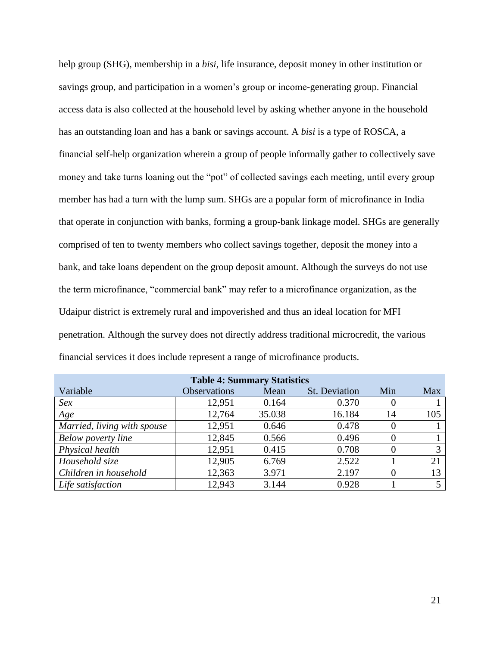help group (SHG), membership in a *bisi*, life insurance, deposit money in other institution or savings group, and participation in a women's group or income-generating group. Financial access data is also collected at the household level by asking whether anyone in the household has an outstanding loan and has a bank or savings account. A *bisi* is a type of ROSCA, a financial self-help organization wherein a group of people informally gather to collectively save money and take turns loaning out the "pot" of collected savings each meeting, until every group member has had a turn with the lump sum. SHGs are a popular form of microfinance in India that operate in conjunction with banks, forming a group-bank linkage model. SHGs are generally comprised of ten to twenty members who collect savings together, deposit the money into a bank, and take loans dependent on the group deposit amount. Although the surveys do not use the term microfinance, "commercial bank" may refer to a microfinance organization, as the Udaipur district is extremely rural and impoverished and thus an ideal location for MFI penetration. Although the survey does not directly address traditional microcredit, the various financial services it does include represent a range of microfinance products.

| <b>Table 4: Summary Statistics</b> |                     |        |               |     |            |
|------------------------------------|---------------------|--------|---------------|-----|------------|
| Variable                           | <b>Observations</b> | Mean   | St. Deviation | Min | <b>Max</b> |
| Sex                                | 12,951              | 0.164  | 0.370         |     |            |
| Age                                | 12,764              | 35.038 | 16.184        | 14  | 105        |
| Married, living with spouse        | 12,951              | 0.646  | 0.478         |     |            |
| Below poverty line                 | 12,845              | 0.566  | 0.496         |     |            |
| Physical health                    | 12,951              | 0.415  | 0.708         |     | 3          |
| Household size                     | 12,905              | 6.769  | 2.522         |     | 21         |
| Children in household              | 12,363              | 3.971  | 2.197         |     | 13         |
| Life satisfaction                  | 12,943              | 3.144  | 0.928         |     |            |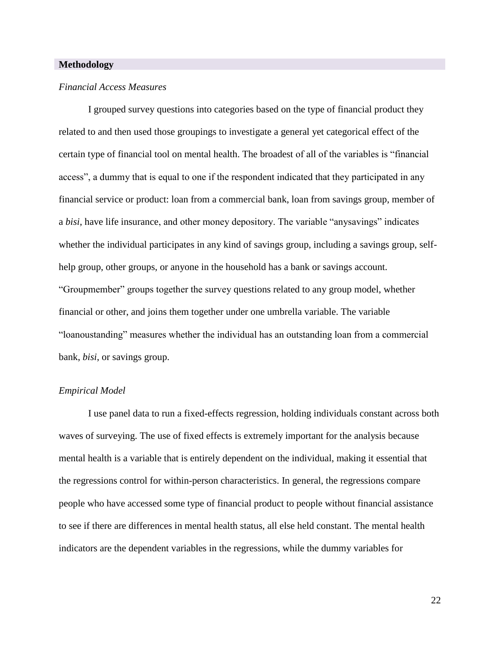# **Methodology**

#### *Financial Access Measures*

I grouped survey questions into categories based on the type of financial product they related to and then used those groupings to investigate a general yet categorical effect of the certain type of financial tool on mental health. The broadest of all of the variables is "financial access", a dummy that is equal to one if the respondent indicated that they participated in any financial service or product: loan from a commercial bank, loan from savings group, member of a *bisi*, have life insurance, and other money depository. The variable "anysavings" indicates whether the individual participates in any kind of savings group, including a savings group, selfhelp group, other groups, or anyone in the household has a bank or savings account. "Groupmember" groups together the survey questions related to any group model, whether financial or other, and joins them together under one umbrella variable. The variable "loanoustanding" measures whether the individual has an outstanding loan from a commercial bank, *bisi*, or savings group.

#### *Empirical Model*

I use panel data to run a fixed-effects regression, holding individuals constant across both waves of surveying. The use of fixed effects is extremely important for the analysis because mental health is a variable that is entirely dependent on the individual, making it essential that the regressions control for within-person characteristics. In general, the regressions compare people who have accessed some type of financial product to people without financial assistance to see if there are differences in mental health status, all else held constant. The mental health indicators are the dependent variables in the regressions, while the dummy variables for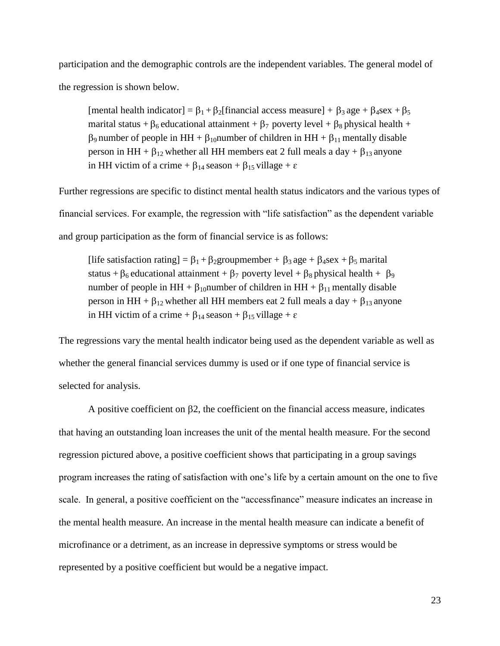participation and the demographic controls are the independent variables. The general model of the regression is shown below.

[mental health indicator] =  $\beta_1 + \beta_2$ [financial access measure] +  $\beta_3$  age +  $\beta_4$ sex +  $\beta_5$ marital status +  $\beta_6$  educational attainment +  $\beta_7$  poverty level +  $\beta_8$  physical health +  $\beta_9$  number of people in HH +  $\beta_{10}$ number of children in HH +  $\beta_{11}$  mentally disable person in HH +  $\beta_{12}$  whether all HH members eat 2 full meals a day +  $\beta_{13}$  anyone in HH victim of a crime +  $\beta_{14}$  season +  $\beta_{15}$  village +  $\varepsilon$ 

Further regressions are specific to distinct mental health status indicators and the various types of financial services. For example, the regression with "life satisfaction" as the dependent variable and group participation as the form of financial service is as follows:

[life satisfaction rating] =  $\beta_1 + \beta_2$ groupmember +  $\beta_3$  age +  $\beta_4$ sex +  $\beta_5$  marital status +  $\beta_6$  educational attainment +  $\beta_7$  poverty level +  $\beta_8$  physical health +  $\beta_9$ number of people in HH +  $\beta_{10}$ number of children in HH +  $\beta_{11}$  mentally disable person in HH +  $\beta_{12}$  whether all HH members eat 2 full meals a day +  $\beta_{13}$  anyone in HH victim of a crime +  $\beta_{14}$  season +  $\beta_{15}$  village +  $\varepsilon$ 

The regressions vary the mental health indicator being used as the dependent variable as well as whether the general financial services dummy is used or if one type of financial service is selected for analysis.

A positive coefficient on  $\beta$ , the coefficient on the financial access measure, indicates that having an outstanding loan increases the unit of the mental health measure. For the second regression pictured above, a positive coefficient shows that participating in a group savings program increases the rating of satisfaction with one's life by a certain amount on the one to five scale. In general, a positive coefficient on the "accessfinance" measure indicates an increase in the mental health measure. An increase in the mental health measure can indicate a benefit of microfinance or a detriment, as an increase in depressive symptoms or stress would be represented by a positive coefficient but would be a negative impact.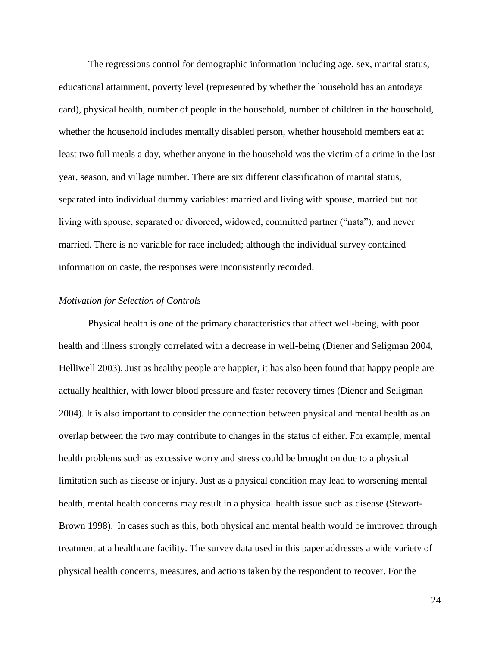The regressions control for demographic information including age, sex, marital status, educational attainment, poverty level (represented by whether the household has an antodaya card), physical health, number of people in the household, number of children in the household, whether the household includes mentally disabled person, whether household members eat at least two full meals a day, whether anyone in the household was the victim of a crime in the last year, season, and village number. There are six different classification of marital status, separated into individual dummy variables: married and living with spouse, married but not living with spouse, separated or divorced, widowed, committed partner ("nata"), and never married. There is no variable for race included; although the individual survey contained information on caste, the responses were inconsistently recorded.

# *Motivation for Selection of Controls*

Physical health is one of the primary characteristics that affect well-being, with poor health and illness strongly correlated with a decrease in well-being (Diener and Seligman 2004, Helliwell 2003). Just as healthy people are happier, it has also been found that happy people are actually healthier, with lower blood pressure and faster recovery times (Diener and Seligman 2004). It is also important to consider the connection between physical and mental health as an overlap between the two may contribute to changes in the status of either. For example, mental health problems such as excessive worry and stress could be brought on due to a physical limitation such as disease or injury. Just as a physical condition may lead to worsening mental health, mental health concerns may result in a physical health issue such as disease (Stewart-Brown 1998). In cases such as this, both physical and mental health would be improved through treatment at a healthcare facility. The survey data used in this paper addresses a wide variety of physical health concerns, measures, and actions taken by the respondent to recover. For the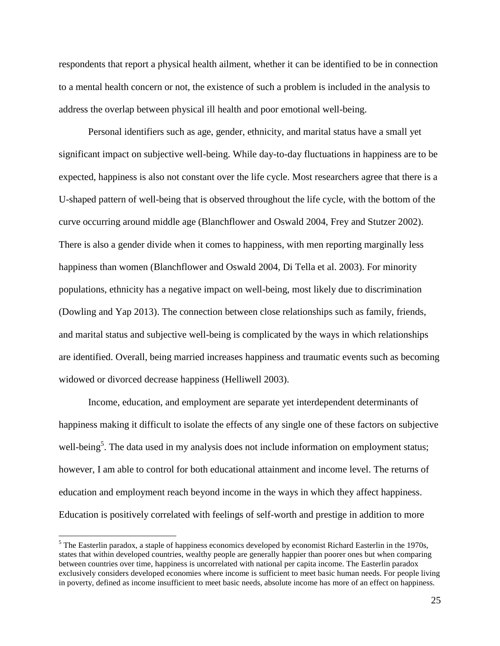respondents that report a physical health ailment, whether it can be identified to be in connection to a mental health concern or not, the existence of such a problem is included in the analysis to address the overlap between physical ill health and poor emotional well-being.

Personal identifiers such as age, gender, ethnicity, and marital status have a small yet significant impact on subjective well-being. While day-to-day fluctuations in happiness are to be expected, happiness is also not constant over the life cycle. Most researchers agree that there is a U-shaped pattern of well-being that is observed throughout the life cycle, with the bottom of the curve occurring around middle age (Blanchflower and Oswald 2004, Frey and Stutzer 2002). There is also a gender divide when it comes to happiness, with men reporting marginally less happiness than women (Blanchflower and Oswald 2004, Di Tella et al. 2003). For minority populations, ethnicity has a negative impact on well-being, most likely due to discrimination (Dowling and Yap 2013). The connection between close relationships such as family, friends, and marital status and subjective well-being is complicated by the ways in which relationships are identified. Overall, being married increases happiness and traumatic events such as becoming widowed or divorced decrease happiness (Helliwell 2003).

Income, education, and employment are separate yet interdependent determinants of happiness making it difficult to isolate the effects of any single one of these factors on subjective well-being<sup>5</sup>. The data used in my analysis does not include information on employment status; however, I am able to control for both educational attainment and income level. The returns of education and employment reach beyond income in the ways in which they affect happiness. Education is positively correlated with feelings of self-worth and prestige in addition to more

 $\overline{a}$ 

<sup>&</sup>lt;sup>5</sup> The Easterlin paradox, a staple of happiness economics developed by economist Richard Easterlin in the 1970s, states that within developed countries, wealthy people are generally happier than poorer ones but when comparing between countries over time, happiness is uncorrelated with national per capita income. The Easterlin paradox exclusively considers developed economies where income is sufficient to meet basic human needs. For people living in poverty, defined as income insufficient to meet basic needs, absolute income has more of an effect on happiness.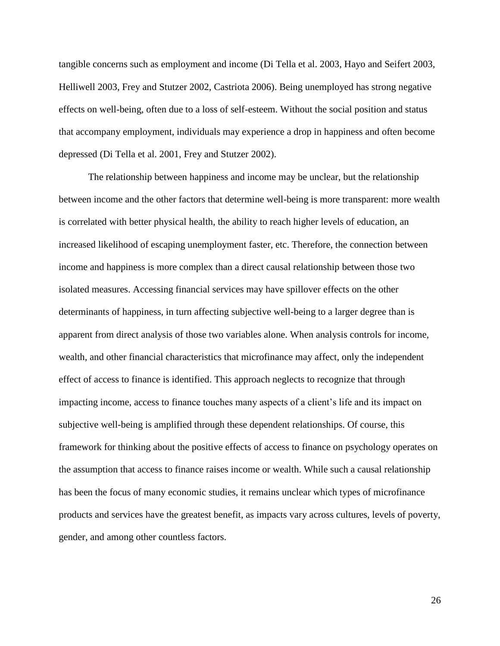tangible concerns such as employment and income (Di Tella et al. 2003, Hayo and Seifert 2003, Helliwell 2003, Frey and Stutzer 2002, Castriota 2006). Being unemployed has strong negative effects on well-being, often due to a loss of self-esteem. Without the social position and status that accompany employment, individuals may experience a drop in happiness and often become depressed (Di Tella et al. 2001, Frey and Stutzer 2002).

The relationship between happiness and income may be unclear, but the relationship between income and the other factors that determine well-being is more transparent: more wealth is correlated with better physical health, the ability to reach higher levels of education, an increased likelihood of escaping unemployment faster, etc. Therefore, the connection between income and happiness is more complex than a direct causal relationship between those two isolated measures. Accessing financial services may have spillover effects on the other determinants of happiness, in turn affecting subjective well-being to a larger degree than is apparent from direct analysis of those two variables alone. When analysis controls for income, wealth, and other financial characteristics that microfinance may affect, only the independent effect of access to finance is identified. This approach neglects to recognize that through impacting income, access to finance touches many aspects of a client's life and its impact on subjective well-being is amplified through these dependent relationships. Of course, this framework for thinking about the positive effects of access to finance on psychology operates on the assumption that access to finance raises income or wealth. While such a causal relationship has been the focus of many economic studies, it remains unclear which types of microfinance products and services have the greatest benefit, as impacts vary across cultures, levels of poverty, gender, and among other countless factors.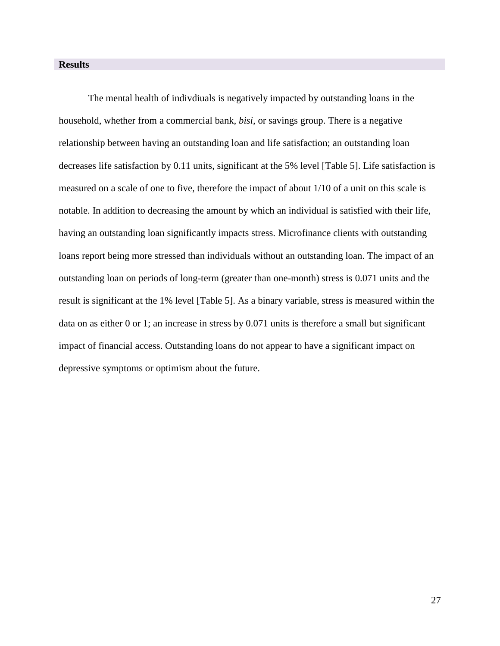# **Results**

The mental health of indivdiuals is negatively impacted by outstanding loans in the household, whether from a commercial bank, *bisi*, or savings group. There is a negative relationship between having an outstanding loan and life satisfaction; an outstanding loan decreases life satisfaction by 0.11 units, significant at the 5% level [Table 5]. Life satisfaction is measured on a scale of one to five, therefore the impact of about 1/10 of a unit on this scale is notable. In addition to decreasing the amount by which an individual is satisfied with their life, having an outstanding loan significantly impacts stress. Microfinance clients with outstanding loans report being more stressed than individuals without an outstanding loan. The impact of an outstanding loan on periods of long-term (greater than one-month) stress is 0.071 units and the result is significant at the 1% level [Table 5]. As a binary variable, stress is measured within the data on as either 0 or 1; an increase in stress by 0.071 units is therefore a small but significant impact of financial access. Outstanding loans do not appear to have a significant impact on depressive symptoms or optimism about the future.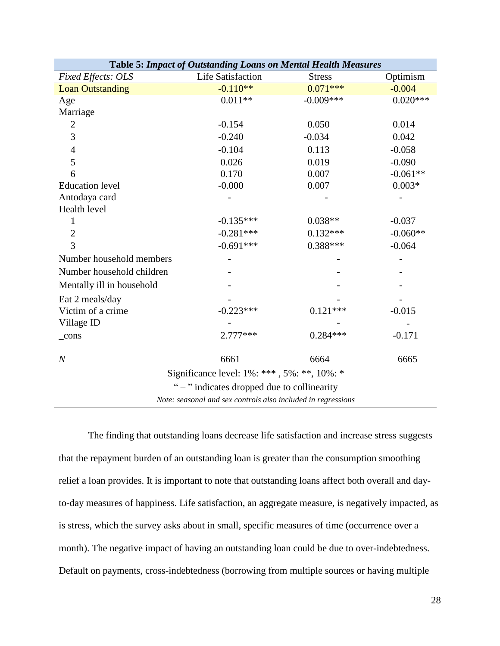|                           | Table 5: Impact of Outstanding Loans on Mental Health Measures |               |            |
|---------------------------|----------------------------------------------------------------|---------------|------------|
| <b>Fixed Effects: OLS</b> | <b>Life Satisfaction</b>                                       | <b>Stress</b> | Optimism   |
| <b>Loan Outstanding</b>   | $-0.110**$                                                     | $0.071***$    | $-0.004$   |
| Age                       | $0.011**$                                                      | $-0.009***$   | $0.020***$ |
| Marriage                  |                                                                |               |            |
| $\overline{2}$            | $-0.154$                                                       | 0.050         | 0.014      |
| 3                         | $-0.240$                                                       | $-0.034$      | 0.042      |
| $\overline{4}$            | $-0.104$                                                       | 0.113         | $-0.058$   |
| 5                         | 0.026                                                          | 0.019         | $-0.090$   |
| 6                         | 0.170                                                          | 0.007         | $-0.061**$ |
| <b>Education</b> level    | $-0.000$                                                       | 0.007         | $0.003*$   |
| Antodaya card             |                                                                |               |            |
| Health level              |                                                                |               |            |
| 1                         | $-0.135***$                                                    | $0.038**$     | $-0.037$   |
| $\overline{2}$            | $-0.281***$                                                    | $0.132***$    | $-0.060**$ |
| 3                         | $-0.691***$                                                    | $0.388***$    | $-0.064$   |
| Number household members  |                                                                |               |            |
| Number household children |                                                                |               |            |
| Mentally ill in household |                                                                |               |            |
| Eat 2 meals/day           |                                                                |               |            |
| Victim of a crime         | $-0.223***$                                                    | $0.121***$    | $-0.015$   |
| Village ID                |                                                                |               |            |
| $_{cons}$                 | $2.777***$                                                     | $0.284***$    | $-0.171$   |
| $\overline{N}$            | 6661                                                           | 6664          | 6665       |
|                           |                                                                |               |            |
|                           | Significance level: 1%: ***, 5%: **, 10%: *                    |               |            |
|                           | " – " indicates dropped due to collinearity                    |               |            |
|                           | Note: seasonal and sex controls also included in regressions   |               |            |

The finding that outstanding loans decrease life satisfaction and increase stress suggests that the repayment burden of an outstanding loan is greater than the consumption smoothing relief a loan provides. It is important to note that outstanding loans affect both overall and dayto-day measures of happiness. Life satisfaction, an aggregate measure, is negatively impacted, as is stress, which the survey asks about in small, specific measures of time (occurrence over a month). The negative impact of having an outstanding loan could be due to over-indebtedness. Default on payments, cross-indebtedness (borrowing from multiple sources or having multiple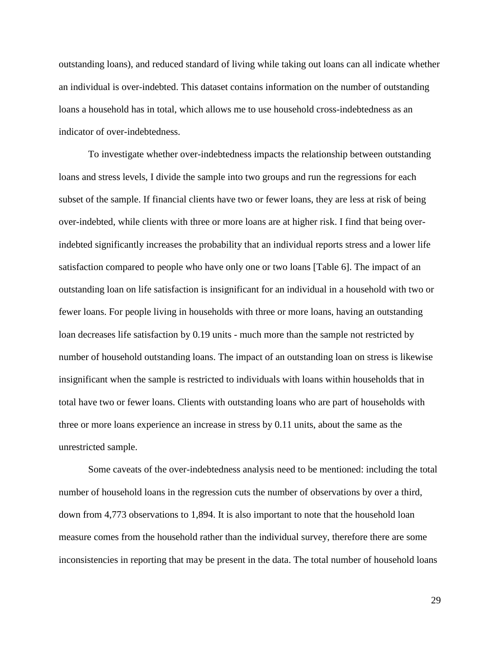outstanding loans), and reduced standard of living while taking out loans can all indicate whether an individual is over-indebted. This dataset contains information on the number of outstanding loans a household has in total, which allows me to use household cross-indebtedness as an indicator of over-indebtedness.

To investigate whether over-indebtedness impacts the relationship between outstanding loans and stress levels, I divide the sample into two groups and run the regressions for each subset of the sample. If financial clients have two or fewer loans, they are less at risk of being over-indebted, while clients with three or more loans are at higher risk. I find that being overindebted significantly increases the probability that an individual reports stress and a lower life satisfaction compared to people who have only one or two loans [Table 6]. The impact of an outstanding loan on life satisfaction is insignificant for an individual in a household with two or fewer loans. For people living in households with three or more loans, having an outstanding loan decreases life satisfaction by 0.19 units - much more than the sample not restricted by number of household outstanding loans. The impact of an outstanding loan on stress is likewise insignificant when the sample is restricted to individuals with loans within households that in total have two or fewer loans. Clients with outstanding loans who are part of households with three or more loans experience an increase in stress by 0.11 units, about the same as the unrestricted sample.

Some caveats of the over-indebtedness analysis need to be mentioned: including the total number of household loans in the regression cuts the number of observations by over a third, down from 4,773 observations to 1,894. It is also important to note that the household loan measure comes from the household rather than the individual survey, therefore there are some inconsistencies in reporting that may be present in the data. The total number of household loans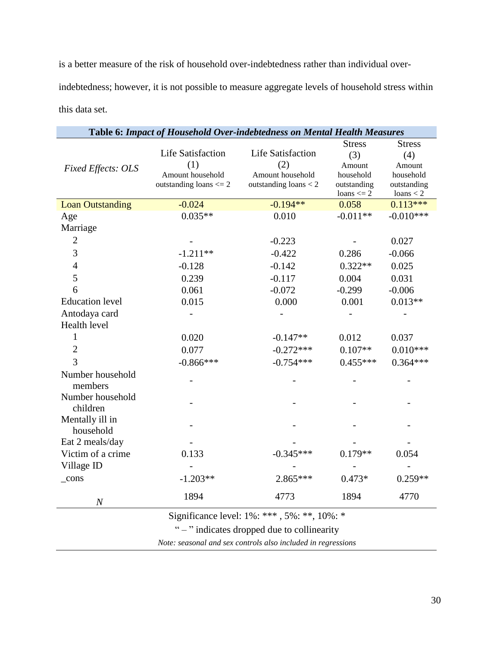is a better measure of the risk of household over-indebtedness rather than individual overindebtedness; however, it is not possible to measure aggregate levels of household stress within this data set.

|                           | Table 6: Impact of Household Over-indebtedness on Mental Health Measures |                                             |                |               |
|---------------------------|--------------------------------------------------------------------------|---------------------------------------------|----------------|---------------|
|                           |                                                                          |                                             | <b>Stress</b>  | <b>Stress</b> |
|                           | <b>Life Satisfaction</b>                                                 | <b>Life Satisfaction</b>                    | (3)            | (4)           |
| <b>Fixed Effects: OLS</b> | (1)                                                                      | (2)                                         | Amount         | Amount        |
|                           | Amount household                                                         | Amount household                            | household      | household     |
|                           | outstanding loans $<=2$                                                  | outstanding $loans < 2$                     | outstanding    | outstanding   |
|                           |                                                                          |                                             | loans $\leq$ 2 | loans $<$ 2   |
| <b>Loan Outstanding</b>   | $-0.024$                                                                 | $-0.194**$                                  | 0.058          | $0.113***$    |
| Age                       | $0.035**$                                                                | 0.010                                       | $-0.011**$     | $-0.010***$   |
| Marriage                  |                                                                          |                                             |                |               |
| $\mathfrak{2}$            |                                                                          | $-0.223$                                    |                | 0.027         |
| 3                         | $-1.211**$                                                               | $-0.422$                                    | 0.286          | $-0.066$      |
| $\overline{4}$            | $-0.128$                                                                 | $-0.142$                                    | $0.322**$      | 0.025         |
| 5                         | 0.239                                                                    | $-0.117$                                    | 0.004          | 0.031         |
| 6                         | 0.061                                                                    | $-0.072$                                    | $-0.299$       | $-0.006$      |
| <b>Education level</b>    | 0.015                                                                    | 0.000                                       | 0.001          | $0.013**$     |
| Antodaya card             |                                                                          |                                             |                |               |
| Health level              |                                                                          |                                             |                |               |
| 1                         | 0.020                                                                    | $-0.147**$                                  | 0.012          | 0.037         |
| $\overline{2}$            | 0.077                                                                    | $-0.272***$                                 | $0.107**$      | $0.010***$    |
| $\overline{3}$            | $-0.866***$                                                              | $-0.754***$                                 | $0.455***$     | $0.364***$    |
| Number household          |                                                                          |                                             |                |               |
| members                   |                                                                          |                                             |                |               |
| Number household          |                                                                          |                                             |                |               |
| children                  |                                                                          |                                             |                |               |
| Mentally ill in           |                                                                          |                                             |                |               |
| household                 |                                                                          |                                             |                |               |
| Eat 2 meals/day           |                                                                          |                                             |                |               |
| Victim of a crime         | 0.133                                                                    | $-0.345***$                                 | $0.179**$      | 0.054         |
| Village ID                |                                                                          |                                             |                |               |
| $_{\rm cons}$             | $-1.203**$                                                               | 2.865***                                    | $0.473*$       | $0.259**$     |
|                           | 1894                                                                     | 4773                                        | 1894           | 4770          |
| $\boldsymbol{N}$          |                                                                          |                                             |                |               |
|                           |                                                                          | Significance level: 1%: ***, 5%: **, 10%: * |                |               |

" – " indicates dropped due to collinearity

*Note: seasonal and sex controls also included in regressions*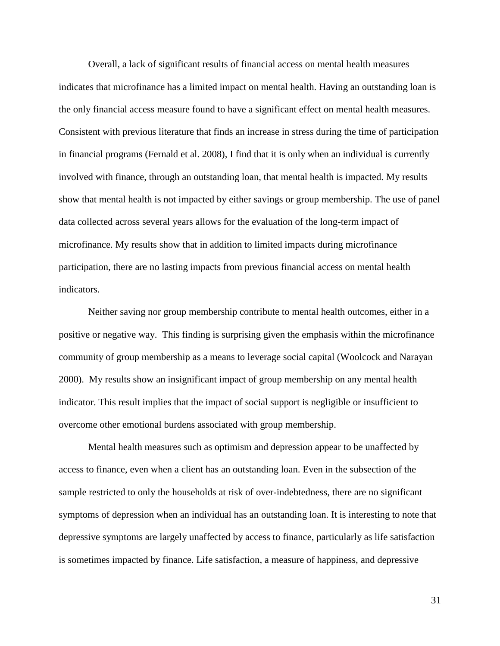Overall, a lack of significant results of financial access on mental health measures indicates that microfinance has a limited impact on mental health. Having an outstanding loan is the only financial access measure found to have a significant effect on mental health measures. Consistent with previous literature that finds an increase in stress during the time of participation in financial programs (Fernald et al. 2008), I find that it is only when an individual is currently involved with finance, through an outstanding loan, that mental health is impacted. My results show that mental health is not impacted by either savings or group membership. The use of panel data collected across several years allows for the evaluation of the long-term impact of microfinance. My results show that in addition to limited impacts during microfinance participation, there are no lasting impacts from previous financial access on mental health indicators.

Neither saving nor group membership contribute to mental health outcomes, either in a positive or negative way. This finding is surprising given the emphasis within the microfinance community of group membership as a means to leverage social capital (Woolcock and Narayan 2000). My results show an insignificant impact of group membership on any mental health indicator. This result implies that the impact of social support is negligible or insufficient to overcome other emotional burdens associated with group membership.

Mental health measures such as optimism and depression appear to be unaffected by access to finance, even when a client has an outstanding loan. Even in the subsection of the sample restricted to only the households at risk of over-indebtedness, there are no significant symptoms of depression when an individual has an outstanding loan. It is interesting to note that depressive symptoms are largely unaffected by access to finance, particularly as life satisfaction is sometimes impacted by finance. Life satisfaction, a measure of happiness, and depressive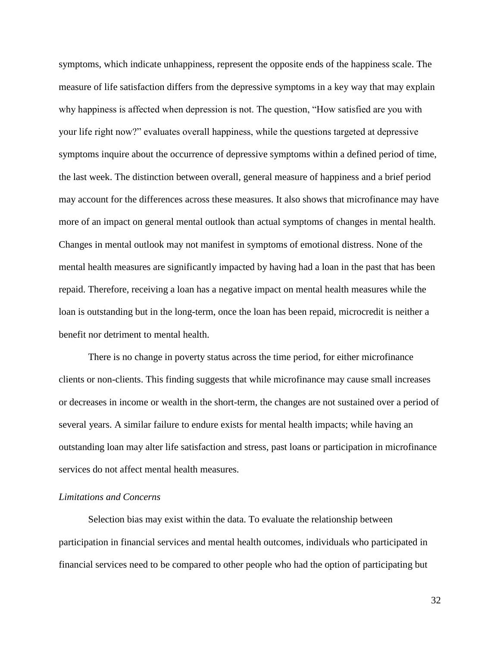symptoms, which indicate unhappiness, represent the opposite ends of the happiness scale. The measure of life satisfaction differs from the depressive symptoms in a key way that may explain why happiness is affected when depression is not. The question, "How satisfied are you with your life right now?" evaluates overall happiness, while the questions targeted at depressive symptoms inquire about the occurrence of depressive symptoms within a defined period of time, the last week. The distinction between overall, general measure of happiness and a brief period may account for the differences across these measures. It also shows that microfinance may have more of an impact on general mental outlook than actual symptoms of changes in mental health. Changes in mental outlook may not manifest in symptoms of emotional distress. None of the mental health measures are significantly impacted by having had a loan in the past that has been repaid. Therefore, receiving a loan has a negative impact on mental health measures while the loan is outstanding but in the long-term, once the loan has been repaid, microcredit is neither a benefit nor detriment to mental health.

There is no change in poverty status across the time period, for either microfinance clients or non-clients. This finding suggests that while microfinance may cause small increases or decreases in income or wealth in the short-term, the changes are not sustained over a period of several years. A similar failure to endure exists for mental health impacts; while having an outstanding loan may alter life satisfaction and stress, past loans or participation in microfinance services do not affect mental health measures.

# *Limitations and Concerns*

Selection bias may exist within the data. To evaluate the relationship between participation in financial services and mental health outcomes, individuals who participated in financial services need to be compared to other people who had the option of participating but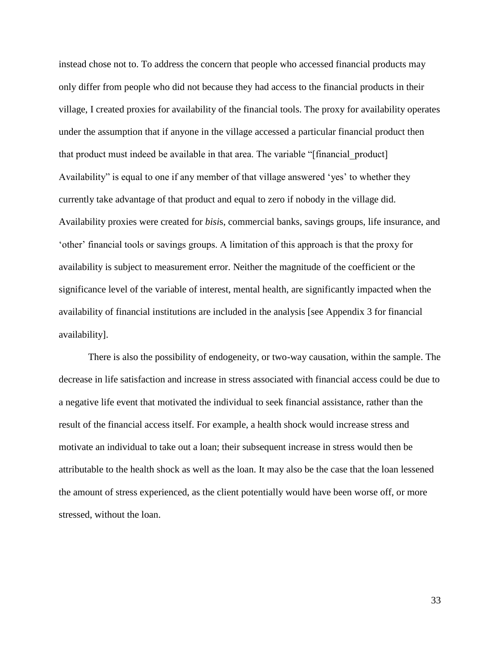instead chose not to. To address the concern that people who accessed financial products may only differ from people who did not because they had access to the financial products in their village, I created proxies for availability of the financial tools. The proxy for availability operates under the assumption that if anyone in the village accessed a particular financial product then that product must indeed be available in that area. The variable "[financial\_product] Availability" is equal to one if any member of that village answered 'yes' to whether they currently take advantage of that product and equal to zero if nobody in the village did. Availability proxies were created for *bisi*s, commercial banks, savings groups, life insurance, and 'other' financial tools or savings groups. A limitation of this approach is that the proxy for availability is subject to measurement error. Neither the magnitude of the coefficient or the significance level of the variable of interest, mental health, are significantly impacted when the availability of financial institutions are included in the analysis [see Appendix 3 for financial availability].

There is also the possibility of endogeneity, or two-way causation, within the sample. The decrease in life satisfaction and increase in stress associated with financial access could be due to a negative life event that motivated the individual to seek financial assistance, rather than the result of the financial access itself. For example, a health shock would increase stress and motivate an individual to take out a loan; their subsequent increase in stress would then be attributable to the health shock as well as the loan. It may also be the case that the loan lessened the amount of stress experienced, as the client potentially would have been worse off, or more stressed, without the loan.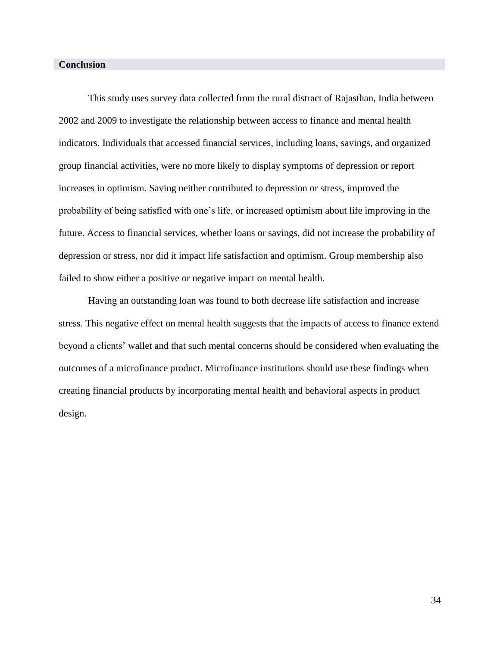# **Conclusion**

This study uses survey data collected from the rural distract of Rajasthan, India between 2002 and 2009 to investigate the relationship between access to finance and mental health indicators. Individuals that accessed financial services, including loans, savings, and organized group financial activities, were no more likely to display symptoms of depression or report increases in optimism. Saving neither contributed to depression or stress, improved the probability of being satisfied with one's life, or increased optimism about life improving in the future. Access to financial services, whether loans or savings, did not increase the probability of depression or stress, nor did it impact life satisfaction and optimism. Group membership also failed to show either a positive or negative impact on mental health.

Having an outstanding loan was found to both decrease life satisfaction and increase stress. This negative effect on mental health suggests that the impacts of access to finance extend beyond a clients' wallet and that such mental concerns should be considered when evaluating the outcomes of a microfinance product. Microfinance institutions should use these findings when creating financial products by incorporating mental health and behavioral aspects in product design.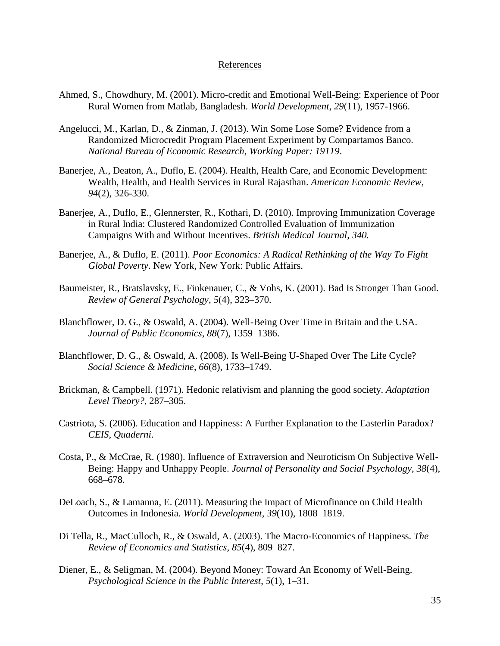# References

- Ahmed, S., Chowdhury, M. (2001). Micro-credit and Emotional Well-Being: Experience of Poor Rural Women from Matlab, Bangladesh. *World Development*, *29*(11), 1957-1966.
- Angelucci, M., Karlan, D., & Zinman, J. (2013). Win Some Lose Some? Evidence from a Randomized Microcredit Program Placement Experiment by Compartamos Banco. *National Bureau of Economic Research*, *Working Paper: 19119*.
- Banerjee, A., Deaton, A., Duflo, E. (2004). Health, Health Care, and Economic Development: Wealth, Health, and Health Services in Rural Rajasthan. *American Economic Review, 94*(2), 326-330.
- Banerjee, A., Duflo, E., Glennerster, R., Kothari, D. (2010). Improving Immunization Coverage in Rural India: Clustered Randomized Controlled Evaluation of Immunization Campaigns With and Without Incentives. *British Medical Journal, 340.*
- Banerjee, A., & Duflo, E. (2011). *Poor Economics: A Radical Rethinking of the Way To Fight Global Poverty*. New York, New York: Public Affairs.
- Baumeister, R., Bratslavsky, E., Finkenauer, C., & Vohs, K. (2001). Bad Is Stronger Than Good. *Review of General Psychology*, *5*(4), 323–370.
- Blanchflower, D. G., & Oswald, A. (2004). Well-Being Over Time in Britain and the USA. *Journal of Public Economics*, *88*(7), 1359–1386.
- Blanchflower, D. G., & Oswald, A. (2008). Is Well-Being U-Shaped Over The Life Cycle? *Social Science & Medicine*, *66*(8), 1733–1749.
- Brickman, & Campbell. (1971). Hedonic relativism and planning the good society. *Adaptation Level Theory?*, 287–305.
- Castriota, S. (2006). Education and Happiness: A Further Explanation to the Easterlin Paradox? *CEIS*, *Quaderni*.
- Costa, P., & McCrae, R. (1980). Influence of Extraversion and Neuroticism On Subjective Well-Being: Happy and Unhappy People. *Journal of Personality and Social Psychology*, *38*(4), 668–678.
- DeLoach, S., & Lamanna, E. (2011). Measuring the Impact of Microfinance on Child Health Outcomes in Indonesia. *World Development*, *39*(10), 1808–1819.
- Di Tella, R., MacCulloch, R., & Oswald, A. (2003). The Macro-Economics of Happiness. *The Review of Economics and Statistics*, *85*(4), 809–827.
- Diener, E., & Seligman, M. (2004). Beyond Money: Toward An Economy of Well-Being. *Psychological Science in the Public Interest*, *5*(1), 1–31.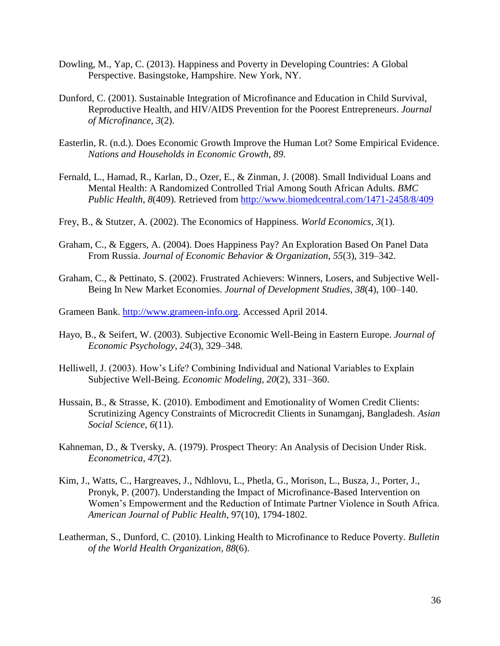- Dowling, M., Yap, C. (2013). Happiness and Poverty in Developing Countries: A Global Perspective. Basingstoke, Hampshire. New York, NY.
- Dunford, C. (2001). Sustainable Integration of Microfinance and Education in Child Survival, Reproductive Health, and HIV/AIDS Prevention for the Poorest Entrepreneurs. *Journal of Microfinance*, *3*(2).
- Easterlin, R. (n.d.). Does Economic Growth Improve the Human Lot? Some Empirical Evidence. *Nations and Households in Economic Growth*, *89*.
- Fernald, L., Hamad, R., Karlan, D., Ozer, E., & Zinman, J. (2008). Small Individual Loans and Mental Health: A Randomized Controlled Trial Among South African Adults. *BMC Public Health*, *8*(409). Retrieved from<http://www.biomedcentral.com/1471-2458/8/409>
- Frey, B., & Stutzer, A. (2002). The Economics of Happiness. *World Economics*, *3*(1).
- Graham, C., & Eggers, A. (2004). Does Happiness Pay? An Exploration Based On Panel Data From Russia. *Journal of Economic Behavior & Organization*, *55*(3), 319–342.
- Graham, C., & Pettinato, S. (2002). Frustrated Achievers: Winners, Losers, and Subjective Well-Being In New Market Economies. *Journal of Development Studies*, *38*(4), 100–140.
- Grameen Bank. [http://www.grameen-info.org.](http://www.grameen-info.org/) Accessed April 2014.
- Hayo, B., & Seifert, W. (2003). Subjective Economic Well-Being in Eastern Europe. *Journal of Economic Psychology*, *24*(3), 329–348.
- Helliwell, J. (2003). How's Life? Combining Individual and National Variables to Explain Subjective Well-Being. *Economic Modeling*, *20*(2), 331–360.
- Hussain, B., & Strasse, K. (2010). Embodiment and Emotionality of Women Credit Clients: Scrutinizing Agency Constraints of Microcredit Clients in Sunamganj, Bangladesh. *Asian Social Science*, *6*(11).
- Kahneman, D., & Tversky, A. (1979). Prospect Theory: An Analysis of Decision Under Risk. *Econometrica*, *47*(2).
- Kim, J., Watts, C., Hargreaves, J., Ndhlovu, L., Phetla, G., Morison, L., Busza, J., Porter, J., Pronyk, P. (2007). Understanding the Impact of Microfinance-Based Intervention on Women's Empowerment and the Reduction of Intimate Partner Violence in South Africa. *American Journal of Public Health*, 97(10), 1794-1802.
- Leatherman, S., Dunford, C. (2010). Linking Health to Microfinance to Reduce Poverty. *Bulletin of the World Health Organization*, *88*(6).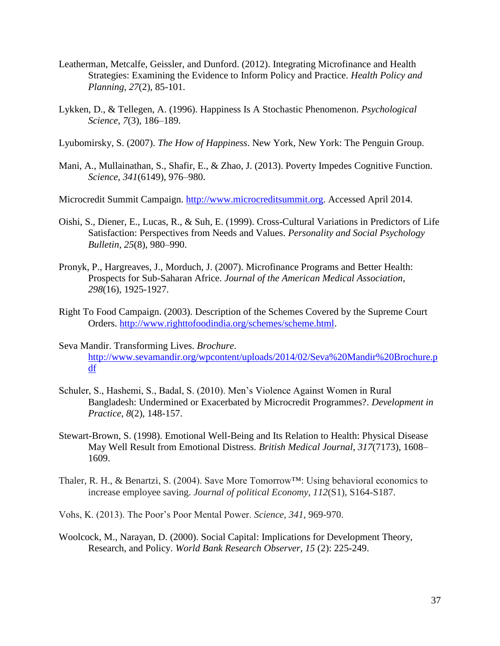- Leatherman, Metcalfe, Geissler, and Dunford. (2012). Integrating Microfinance and Health Strategies: Examining the Evidence to Inform Policy and Practice. *Health Policy and Planning*, *27*(2), 85-101.
- Lykken, D., & Tellegen, A. (1996). Happiness Is A Stochastic Phenomenon. *Psychological Science*, *7*(3), 186–189.
- Lyubomirsky, S. (2007). *The How of Happiness*. New York, New York: The Penguin Group.
- Mani, A., Mullainathan, S., Shafir, E., & Zhao, J. (2013). Poverty Impedes Cognitive Function. *Science*, *341*(6149), 976–980.
- Microcredit Summit Campaign. [http://www.microcreditsummit.org.](http://www.microcreditsummit.org/) Accessed April 2014.
- Oishi, S., Diener, E., Lucas, R., & Suh, E. (1999). Cross-Cultural Variations in Predictors of Life Satisfaction: Perspectives from Needs and Values. *Personality and Social Psychology Bulletin*, *25*(8), 980–990.
- Pronyk, P., Hargreaves, J., Morduch, J. (2007). Microfinance Programs and Better Health: Prospects for Sub-Saharan Africe. *Journal of the American Medical Association*, *298*(16), 1925-1927.
- Right To Food Campaign. (2003). Description of the Schemes Covered by the Supreme Court Orders. [http://www.righttofoodindia.org/schemes/scheme.html.](http://www.righttofoodindia.org/schemes/scheme.html)
- Seva Mandir. Transforming Lives. *Brochure*. [http://www.sevamandir.org/wpcontent/uploads/2014/02/Seva%20Mandir%20Brochure.p](http://www.sevamandir.org/wpcontent/uploads/2014/02/Seva%20Mandir%20Brochure.pdf) [df](http://www.sevamandir.org/wpcontent/uploads/2014/02/Seva%20Mandir%20Brochure.pdf)
- Schuler, S., Hashemi, S., Badal, S. (2010). Men's Violence Against Women in Rural Bangladesh: Undermined or Exacerbated by Microcredit Programmes?. *Development in Practice*, *8*(2), 148-157.
- Stewart-Brown, S. (1998). Emotional Well-Being and Its Relation to Health: Physical Disease May Well Result from Emotional Distress. *British Medical Journal*, *317*(7173), 1608– 1609.
- Thaler, R. H., & Benartzi, S. (2004). Save More Tomorrow<sup>™</sup>: Using behavioral economics to increase employee saving. *Journal of political Economy*, *112*(S1), S164-S187.
- Vohs, K. (2013). The Poor's Poor Mental Power. *Science, 341*, 969-970.
- Woolcock, M., Narayan, D. (2000). Social Capital: Implications for Development Theory, Research, and Policy. *World Bank Research Observer, 15* (2): 225-249.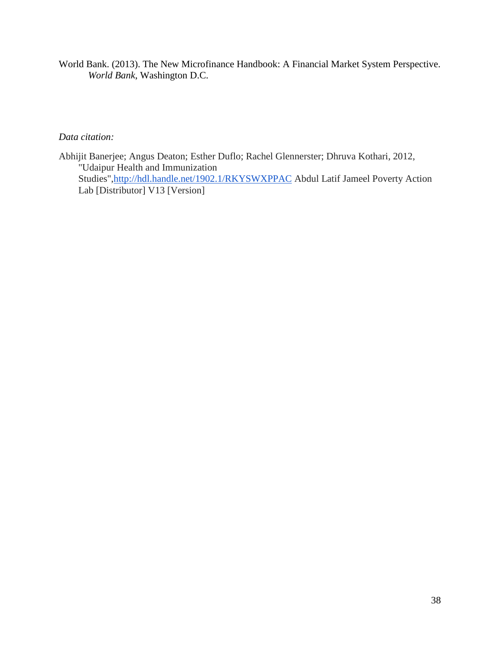World Bank. (2013). The New Microfinance Handbook: A Financial Market System Perspective. *World Bank*, Washington D.C.

# *Data citation:*

Abhijit Banerjee; Angus Deaton; Esther Duflo; Rachel Glennerster; Dhruva Kothari, 2012, "Udaipur Health and Immunization Studies"[,http://hdl.handle.net/1902.1/RKYSWXPPAC](http://hdl.handle.net/1902.1/RKYSWXPPAC) Abdul Latif Jameel Poverty Action Lab [Distributor] V13 [Version]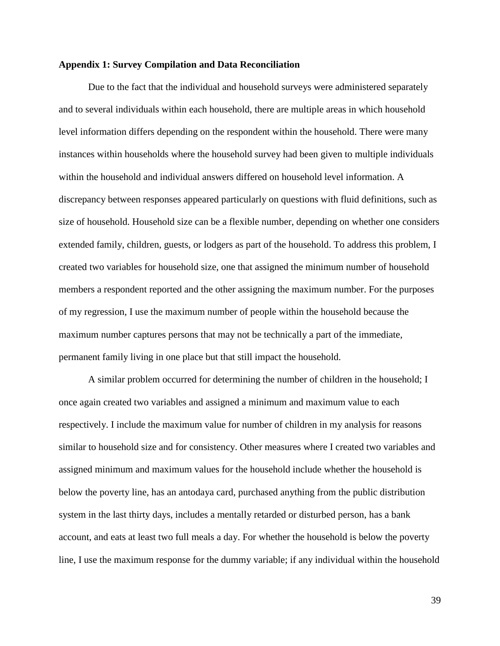#### **Appendix 1: Survey Compilation and Data Reconciliation**

Due to the fact that the individual and household surveys were administered separately and to several individuals within each household, there are multiple areas in which household level information differs depending on the respondent within the household. There were many instances within households where the household survey had been given to multiple individuals within the household and individual answers differed on household level information. A discrepancy between responses appeared particularly on questions with fluid definitions, such as size of household. Household size can be a flexible number, depending on whether one considers extended family, children, guests, or lodgers as part of the household. To address this problem, I created two variables for household size, one that assigned the minimum number of household members a respondent reported and the other assigning the maximum number. For the purposes of my regression, I use the maximum number of people within the household because the maximum number captures persons that may not be technically a part of the immediate, permanent family living in one place but that still impact the household.

A similar problem occurred for determining the number of children in the household; I once again created two variables and assigned a minimum and maximum value to each respectively. I include the maximum value for number of children in my analysis for reasons similar to household size and for consistency. Other measures where I created two variables and assigned minimum and maximum values for the household include whether the household is below the poverty line, has an antodaya card, purchased anything from the public distribution system in the last thirty days, includes a mentally retarded or disturbed person, has a bank account, and eats at least two full meals a day. For whether the household is below the poverty line, I use the maximum response for the dummy variable; if any individual within the household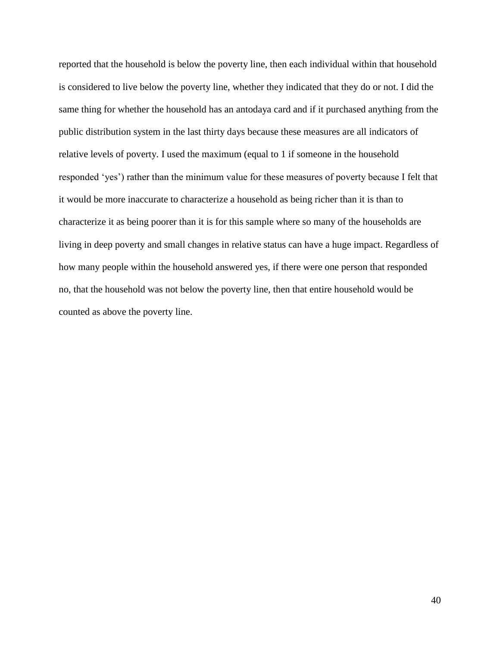reported that the household is below the poverty line, then each individual within that household is considered to live below the poverty line, whether they indicated that they do or not. I did the same thing for whether the household has an antodaya card and if it purchased anything from the public distribution system in the last thirty days because these measures are all indicators of relative levels of poverty. I used the maximum (equal to 1 if someone in the household responded 'yes') rather than the minimum value for these measures of poverty because I felt that it would be more inaccurate to characterize a household as being richer than it is than to characterize it as being poorer than it is for this sample where so many of the households are living in deep poverty and small changes in relative status can have a huge impact. Regardless of how many people within the household answered yes, if there were one person that responded no, that the household was not below the poverty line, then that entire household would be counted as above the poverty line.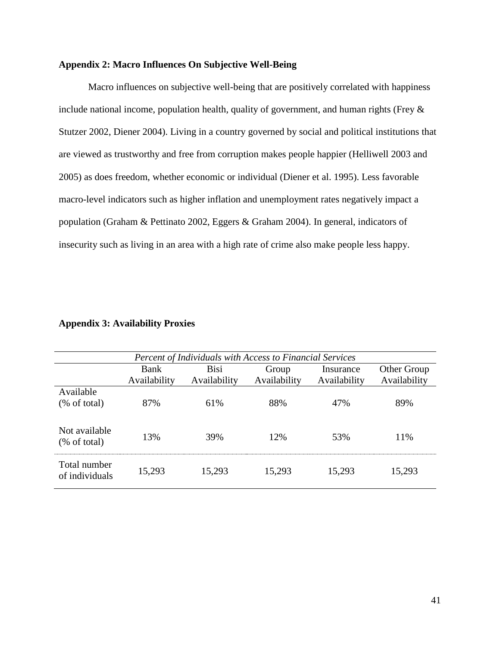# **Appendix 2: Macro Influences On Subjective Well-Being**

Macro influences on subjective well-being that are positively correlated with happiness include national income, population health, quality of government, and human rights (Frey & Stutzer 2002, Diener 2004). Living in a country governed by social and political institutions that are viewed as trustworthy and free from corruption makes people happier (Helliwell 2003 and 2005) as does freedom, whether economic or individual (Diener et al. 1995). Less favorable macro-level indicators such as higher inflation and unemployment rates negatively impact a population (Graham & Pettinato 2002, Eggers & Graham 2004). In general, indicators of insecurity such as living in an area with a high rate of crime also make people less happy.

|                         | <b>Percent of Individuals with Access to Financial Services</b> |              |              |              |              |  |  |
|-------------------------|-----------------------------------------------------------------|--------------|--------------|--------------|--------------|--|--|
|                         | Bank                                                            | <b>Bisi</b>  | Group        | Insurance    | Other Group  |  |  |
|                         | Availability                                                    | Availability | Availability | Availability | Availability |  |  |
| Available               |                                                                 |              |              |              |              |  |  |
| $(\% \text{ of total})$ | 87%                                                             | 61%          | 88%          | 47%          | 89%          |  |  |
|                         |                                                                 |              |              |              |              |  |  |
| Not available           |                                                                 |              |              |              |              |  |  |
| $%$ of total)           | 13%                                                             | 39%          | 12%          | 53%          | 11%          |  |  |
|                         |                                                                 |              |              |              |              |  |  |
| Total number            |                                                                 |              |              |              |              |  |  |
| of individuals          | 15,293                                                          | 15,293       | 15,293       | 15,293       | 15,293       |  |  |
|                         |                                                                 |              |              |              |              |  |  |

# **Appendix 3: Availability Proxies**